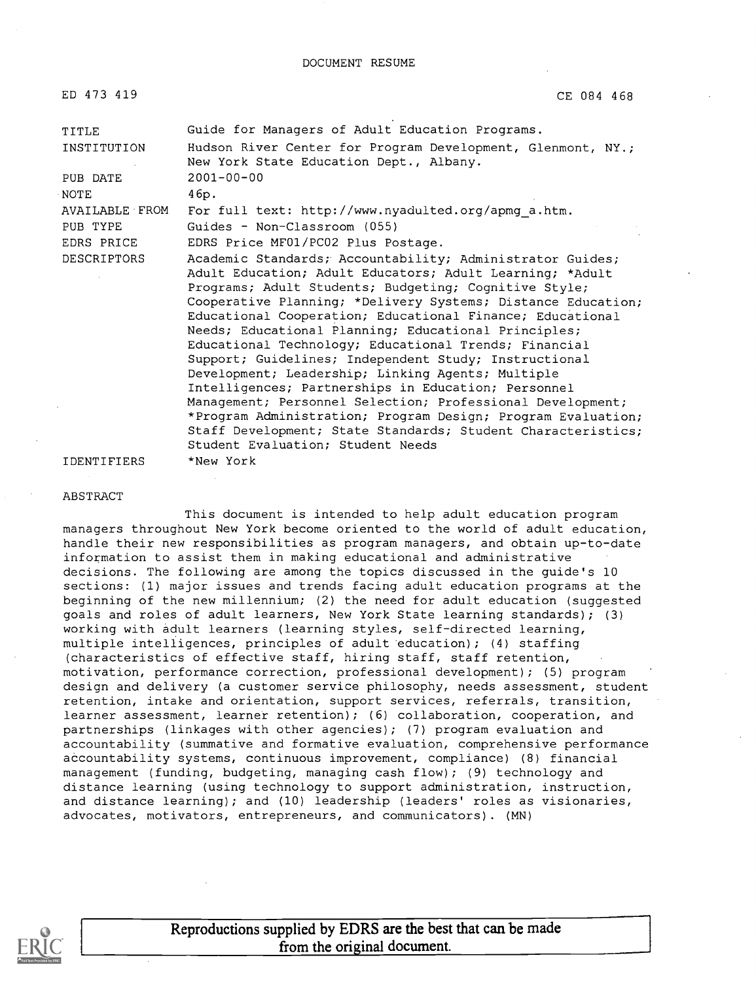DOCUMENT RESUME

| ED 473 419         | CE 084 468                                                                                                                                                                                                                                                                                                                                                                                                                                                                                                                                 |  |
|--------------------|--------------------------------------------------------------------------------------------------------------------------------------------------------------------------------------------------------------------------------------------------------------------------------------------------------------------------------------------------------------------------------------------------------------------------------------------------------------------------------------------------------------------------------------------|--|
| TITLE              | Guide for Managers of Adult Education Programs.                                                                                                                                                                                                                                                                                                                                                                                                                                                                                            |  |
| INSTITUTION        | Hudson River Center for Program Development, Glenmont, NY.;<br>New York State Education Dept., Albany.                                                                                                                                                                                                                                                                                                                                                                                                                                     |  |
| PUB DATE           | $2001 - 00 - 00$                                                                                                                                                                                                                                                                                                                                                                                                                                                                                                                           |  |
| <b>NOTE</b>        | 46p.                                                                                                                                                                                                                                                                                                                                                                                                                                                                                                                                       |  |
| AVAILABLE FROM     | For full text: http://www.nyadulted.org/apmg a.htm.                                                                                                                                                                                                                                                                                                                                                                                                                                                                                        |  |
| PUB TYPE           | Guides - Non-Classroom (055)                                                                                                                                                                                                                                                                                                                                                                                                                                                                                                               |  |
| EDRS PRICE         | EDRS Price MF01/PC02 Plus Postage.                                                                                                                                                                                                                                                                                                                                                                                                                                                                                                         |  |
| <b>DESCRIPTORS</b> | Academic Standards; Accountability; Administrator Guides;<br>Adult Education; Adult Educators; Adult Learning; *Adult<br>Programs; Adult Students; Budgeting; Cognitive Style;<br>Cooperative Planning; *Delivery Systems; Distance Education;<br>Educational Cooperation; Educational Finance; Educational<br>Needs; Educational Planning; Educational Principles;<br>Educational Technology; Educational Trends; Financial<br>Support; Guidelines; Independent Study; Instructional<br>Development; Leadership; Linking Agents; Multiple |  |
|                    | Intelligences; Partnerships in Education; Personnel<br>Management; Personnel Selection; Professional Development;<br>*Program Administration; Program Design; Program Evaluation;<br>Staff Development; State Standards; Student Characteristics;<br>Student Evaluation; Student Needs                                                                                                                                                                                                                                                     |  |
| <b>IDENTIFIERS</b> | *New York                                                                                                                                                                                                                                                                                                                                                                                                                                                                                                                                  |  |

#### IDENTIFIERS

#### ABSTRACT

This document is intended to help adult education program managers throughout New York become oriented to the world of adult education, handle their new responsibilities as program managers, and obtain up-to-date information to assist them in making educational and administrative decisions. The following are among the topics discussed in the guide's 10 sections: (1) major issues and trends facing adult education programs at the beginning of the new millennium; (2) the need for adult education (suggested goals and roles of adult learners, New York State learning standards); (3) working with adult learners (learning styles, self-directed learning, multiple intelligences, principles of adult education); (4) staffing (characteristics of effective staff, hiring staff, staff retention, motivation, performance correction, professional development); (5) program design and delivery (a customer service philosophy, needs assessment, student retention, intake and orientation, support services, referrals, transition, learner assessment, learner retention); (6) collaboration, cooperation, and partnerships (linkages with other agencies); (7) program evaluation and accountability (summative and formative evaluation, comprehensive performance accountability systems, continuous improvement, compliance) (8) financial management (funding, budgeting, managing cash flow); (9) technology and distance learning (using technology to support administration, instruction, and distance learning); and (10) leadership (leaders' roles as visionaries, advocates, motivators, entrepreneurs, and communicators). (MN)



Reproductions supplied by EDRS are the best that can be made from the original document.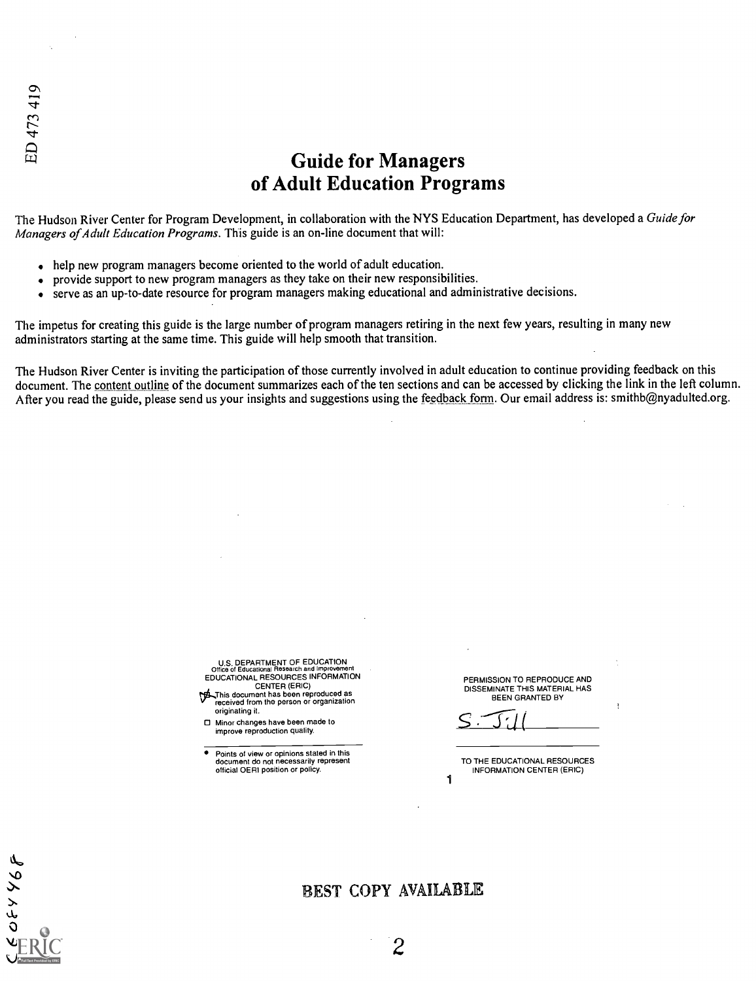# Guide for Managers of Adult Education Programs

The Hudson River Center for Program Development, in collaboration with the NYS Education Department, has developed a Guide for Managers of Adult Education Programs. This guide is an on-line document that will:

- help new program managers become oriented to the world of adult education.
- provide support to new program managers as they take on their new responsibilities.  $\bullet$
- serve as an up-to-date resource for program managers making educational and administrative decisions.

The impetus for creating this guide is the large number of program managers retiring in the next few years, resulting in many new administrators starting at the same time. This guide will help smooth that transition.

The Hudson River Center is inviting the participation of those currently involved in adult education to continue providing feedback on this document. The content outline of the document summarizes each of the ten sections and can be accessed by clicking the link in the left column. After you read the guide, please send us your insights and suggestions using the feedback form. Our email address is: smithb@nyadulted.org.

> U.S. DEPARTMENT OF EDUCATION Office of Educational Research and Improvement EDUCATIONAL RESOURCES INFORMATION CENTER (ERIC)

7/1...J-his document has been reproduced as received from the person or organization originating it.

Minor changes have been made to improve reproduction quality.

Points of view or opinions stated in this document do not necessarily represent official OERI position or policy.

PERMISSION TO REPRODUCE AND DISSEMINATE THIS MATERIAL HAS BEEN GRANTED BY

TO THE EDUCATIONAL RESOURCES INFORMATION CENTER (ERIC)

1

988450

# BEST COPY AVAILABLE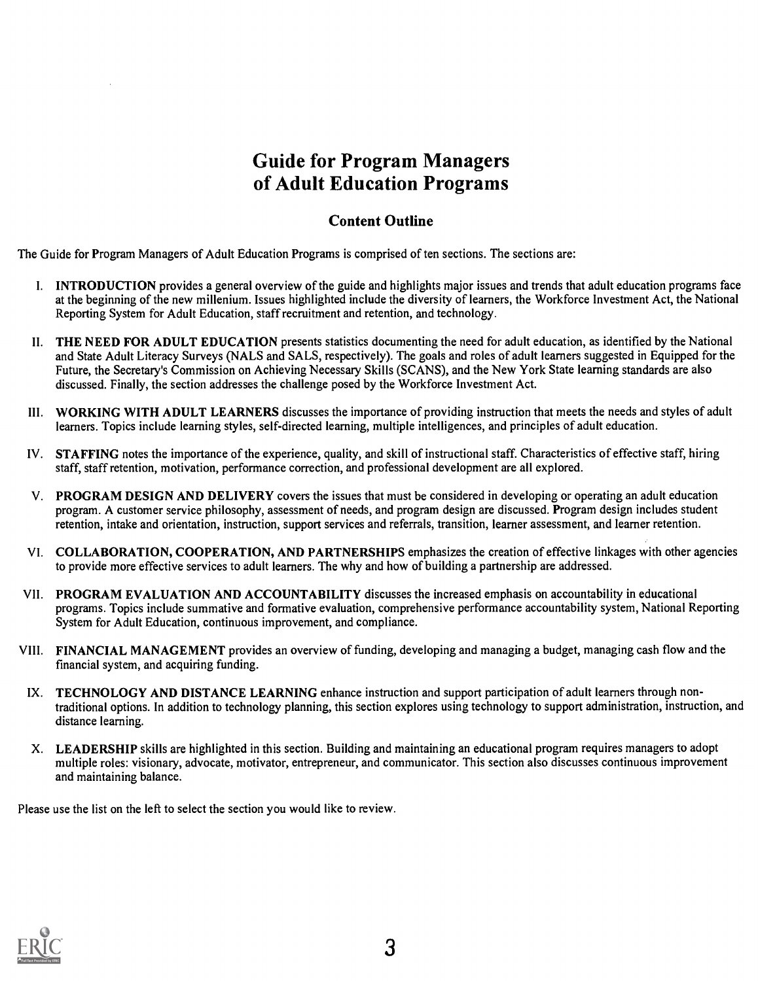# Guide for Program Managers of Adult Education Programs

# Content Outline

The Guide for Program Managers of Adult Education Programs is comprised of ten sections. The sections are:

- I. INTRODUCTION provides a general overview of the guide and highlights major issues and trends that adult education programs face at the beginning of the new millenium. Issues highlighted include the diversity of learners, the Workforce Investment Act, the National Reporting System for Adult Education, staff recruitment and retention, and technology.
- II. THE NEED FOR ADULT EDUCATION presents statistics documenting the need for adult education, as identified by the National and State Adult Literacy Surveys (NALS and SALS, respectively). The goals and roles of adult learners suggested in Equipped for the Future, the Secretary's Commission on Achieving Necessary Skills (SCANS), and the New York State learning standards are also discussed. Finally, the section addresses the challenge posed by the Workforce Investment Act.
- III. WORKING WITH ADULT LEARNERS discusses the importance of providing instruction that meets the needs and styles of adult learners. Topics include learning styles, self-directed learning, multiple intelligences, and principles of adult education.
- IV. STAFFING notes the importance of the experience, quality, and skill of instructional staff. Characteristics of effective staff, hiring staff, staff retention, motivation, performance correction, and professional development are all explored.
- V. PROGRAM DESIGN AND DELIVERY covers the issues that must be considered in developing or operating an adult education program. A customer service philosophy, assessment of needs, and program design are discussed. Program design includes student retention, intake and orientation, instruction, support services and referrals, transition, learner assessment, and learner retention.
- VI. COLLABORATION, COOPERATION, AND PARTNERSHIPS emphasizes the creation of effective linkages with other agencies to provide more effective services to adult learners. The why and how of building a partnership are addressed.
- VII. PROGRAM EVALUATION AND ACCOUNTABILITY discusses the increased emphasis on accountability in educational programs. Topics include summative and formative evaluation, comprehensive performance accountability system, National Reporting System for Adult Education, continuous improvement, and compliance.
- VIII. FINANCIAL MANAGEMENT provides an overview of funding, developing and managing a budget, managing cash flow and the financial system, and acquiring funding.
- IX. TECHNOLOGY AND DISTANCE LEARNING enhance instruction and support participation of adult learners through nontraditional options. In addition to technology planning, this section explores using technology to support administration, instruction, and distance learning.
- X. LEADERSHIP skills are highlighted in this section. Building and maintaining an educational program requires managers to adopt multiple roles: visionary, advocate, motivator, entrepreneur, and communicator. This section also discusses continuous improvement and maintaining balance.

Please use the list on the left to select the section you would like to review.

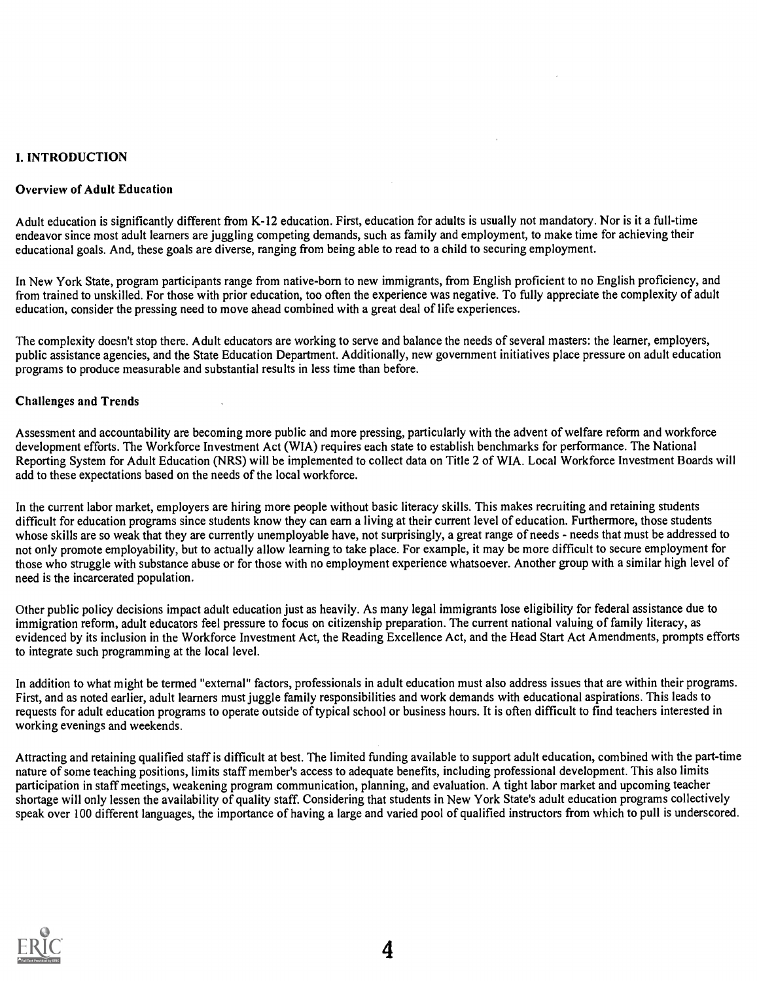# I. INTRODUCTION

#### Overview of Adult Education

Adult education is significantly different from K-12 education. First, education for adults is usually not mandatory. Nor is it a full-time endeavor since most adult learners are juggling competing demands, such as family and employment, to make time for achieving their educational goals. And, these goals are diverse, ranging from being able to read to a child to securing employment.

In New York State, program participants range from native-born to new immigrants, from English proficient to no English proficiency, and from trained to unskilled. For those with prior education, too often the experience was negative. To fully appreciate the complexity of adult education, consider the pressing need to move ahead combined with a great deal of life experiences.

The complexity doesn't stop there. Adult educators are working to serve and balance the needs of several masters: the learner, employers, public assistance agencies, and the State Education Department. Additionally, new government initiatives place pressure on adult education programs to produce measurable and substantial results in less time than before.

## Challenges and Trends

Assessment and accountability are becoming more public and more pressing, particularly with the advent of welfare reform and workforce development efforts. The Workforce Investment Act (WIA) requires each state to establish benchmarks for performance. The National Reporting System for Adult Education (NRS) will be implemented to collect data on Title 2 of WIA. Local Workforce Investment Boards will add to these expectations based on the needs of the local workforce.

In the current labor market, employers are hiring more people without basic literacy skills. This makes recruiting and retaining students difficult for education programs since students know they can earn a living at their current level of education. Furthermore, those students whose skills are so weak that they are currently unemployable have, not surprisingly, a great range of needs - needs that must be addressed to not only promote employability, but to actually allow learning to take place. For example, it may be more difficult to secure employment for those who struggle with substance abuse or for those with no employment experience whatsoever. Another group with a similar high level of need is the incarcerated population.

Other public policy decisions impact adult education just as heavily. As many legal immigrants lose eligibility for federal assistance due to immigration reform, adult educators feel pressure to focus on citizenship preparation. The current national valuing of family literacy, as evidenced by its inclusion in the Workforce Investment Act, the Reading Excellence Act, and the Head Start Act Amendments, prompts efforts to integrate such programming at the local level.

In addition to what might be termed "external" factors, professionals in adult education must also address issues that are within their programs. First, and as noted earlier, adult learners must juggle family responsibilities and work demands with educational aspirations. This leads to requests for adult education programs to operate outside of typical school or business hours. It is often difficult to find teachers interested in working evenings and weekends.

Attracting and retaining qualified staff is difficult at best. The limited funding available to support adult education, combined with the part-time nature of some teaching positions, limits staff member's access to adequate benefits, including professional development. This also limits participation in staff meetings, weakening program communication, planning, and evaluation. A tight labor market and upcoming teacher shortage will only lessen the availability of quality staff. Considering that students in New York State's adult education programs collectively speak over 100 different languages, the importance of having a large and varied pool of qualified instructors from which to pull is underscored.

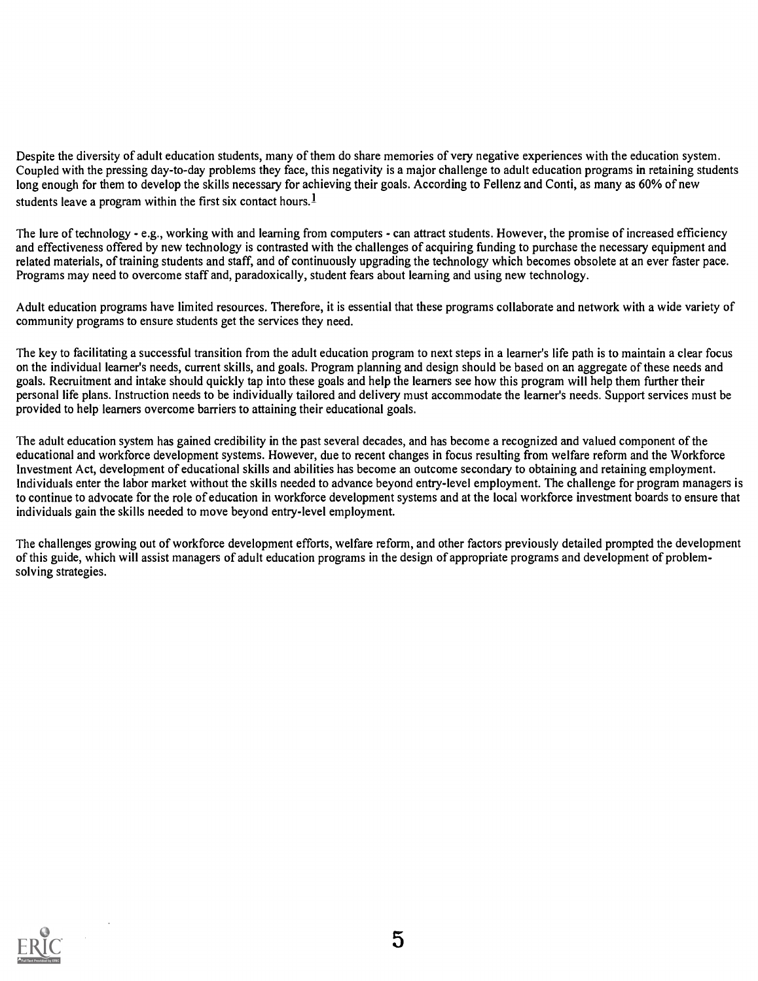Despite the diversity of adult education students, many of them do share memories of very negative experiences with the education system. Coupled with the pressing day-to-day problems they face, this negativity is a major challenge to adult education programs in retaining students long enough for them to develop the skills necessary for achieving their goals. According to Fellenz and Conti, as many as 60% of new students leave a program within the first six contact hours.<sup>1</sup>

The lure of technology - e.g., working with and learning from computers - can attract students. However, the promise of increased efficiency and effectiveness offered by new technology is contrasted with the challenges of acquiring funding to purchase the necessary equipment and related materials, of training students and staff, and of continuously upgrading the technology which becomes obsolete at an ever faster pace. Programs may need to overcome staff and, paradoxically, student fears about learning and using new technology.

Adult education programs have limited resources. Therefore, it is essential that these programs collaborate and network with a wide variety of community programs to ensure students get the services they need.

The key to facilitating a successful transition from the adult education program to next steps in a learner's life path is to maintain a clear focus on the individual learner's needs, current skills, and goals. Program planning and design should be based on an aggregate of these needs and goals. Recruitment and intake should quickly tap into these goals and help the learners see how this program will help them further their personal life plans. Instruction needs to be individually tailored and delivery must accommodate the learner's needs. Support services must be provided to help learners overcome barriers to attaining their educational goals.

The adult education system has gained credibility in the past several decades, and has become a recognized and valued component of the educational and workforce development systems. However, due to recent changes in focus resulting from welfare reform and the Workforce Investment Act, development of educational skills and abilities has become an outcome secondary to obtaining and retaining employment. Individuals enter the labor market without the skills needed to advance beyond entry-level employment. The challenge for program managers is to continue to advocate for the role of education in workforce development systems and at the local workforce investment boards to ensure that individuals gain the skills needed to move beyond entry-level employment.

The challenges growing out of workforce development efforts, welfare reform, and other factors previously detailed prompted the development of this guide, which will assist managers of adult education programs in the design of appropriate programs and development of problemsolving strategies.

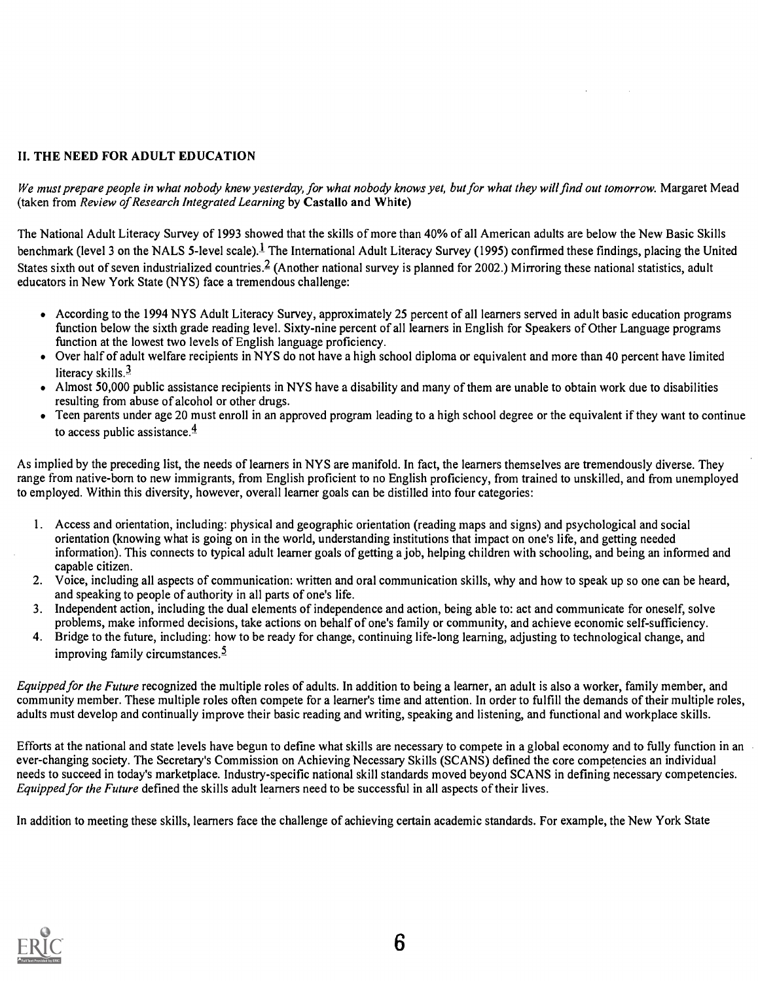# II. THE NEED FOR ADULT EDUCATION

We must prepare people in what nobody knew yesterday, for what nobody knows yet, but for what they will find out tomorrow. Margaret Mead (taken from Review of Research Integrated Learning by Castallo and White)

The National Adult Literacy Survey of 1993 showed that the skills of more than 40% of all American adults are below the New Basic Skills benchmark (level 3 on the NALS 5-level scale).<sup>1</sup> The International Adult Literacy Survey (1995) confirmed these findings, placing the United States sixth out of seven industrialized countries.  $\frac{2}{3}$  (Another national survey is planned for 2002.) Mirroring these national statistics, adult educators in New York State (NYS) face a tremendous challenge:

- According to the 1994 NYS Adult Literacy Survey, approximately 25 percent of all learners served in adult basic education programs function below the sixth grade reading level. Sixty-nine percent of all learners in English for Speakers of Other Language programs function at the lowest two levels of English language proficiency.
- Over half of adult welfare recipients in NYS do not have a high school diploma or equivalent and more than 40 percent have limited literacy skills.<sup>3</sup>
- Almost 50,000 public assistance recipients in NYS have a disability and many of them are unable to obtain work due to disabilities resulting from abuse of alcohol or other drugs.
- Teen parents under age 20 must enroll in an approved program leading to a high school degree or the equivalent if they want to continue to access public assistance. $\frac{4}{3}$

As implied by the preceding list, the needs of learners in NYS are manifold. In fact, the learners themselves are tremendously diverse. They range from native-born to new immigrants, from English proficient to no English proficiency, from trained to unskilled, and from unemployed to employed. Within this diversity, however, overall learner goals can be distilled into four categories:

- 1. Access and orientation, including: physical and geographic orientation (reading maps and signs) and psychological and social orientation (knowing what is going on in the world, understanding institutions that impact on one's life, and getting needed information). This connects to typical adult learner goals of getting a job, helping children with schooling, and being an informed and capable citizen.
- 2. Voice, including all aspects of communication: written and oral communication skills, why and how to speak up so one can be heard, and speaking to people of authority in all parts of one's life.
- 3. Independent action, including the dual elements of independence and action, being able to: act and communicate for oneself, solve problems, make informed decisions, take actions on behalf of one's family or community, and achieve economic self-sufficiency.
- 4. Bridge to the future, including: how to be ready for change, continuing life-long learning, adjusting to technological change, and improving family circumstances.5

Equipped for the Future recognized the multiple roles of adults. In addition to being a learner, an adult is also a worker, family member, and community member. These multiple roles often compete for a learner's time and attention. In order to fulfill the demands of their multiple roles, adults must develop and continually improve their basic reading and writing, speaking and listening, and functional and workplace skills.

Efforts at the national and state levels have begun to define what skills are necessary to compete in a global economy and to fully function in an ever-changing society. The Secretary's Commission on Achieving Necessary Skills (SCANS) defined the core competencies an individual needs to succeed in today's marketplace. Industry-specific national skill standards moved beyond SCANS in defining necessary competencies. Equipped for the Future defined the skills adult learners need to be successful in all aspects of their lives.

In addition to meeting these skills, learners face the challenge of achieving certain academic standards. For example, the New York State

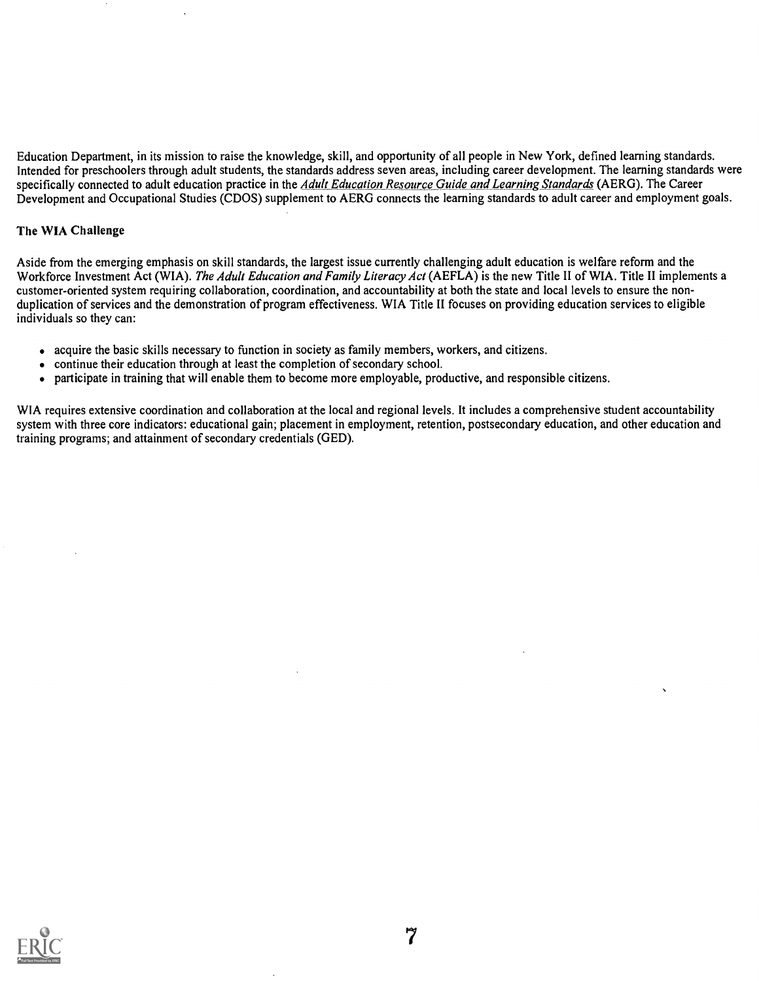Education Department, in its mission to raise the knowledge, skill, and opportunity of all people in New York, defined learning standards. Intended for preschoolers through adult students, the standards address seven areas, including career development. The learning standards were specifically connected to adult education practice in the *Adult Education Resource Guide and Learning Standards* (AERG). The Career Development and Occupational Studies (CDOS) supplement to AERG connects the learning standards to adult career and employment goals.

# The WIA Challenge

Aside from the emerging emphasis on skill standards, the largest issue currently challenging adult education is welfare reform and the Workforce Investment Act (WIA). The Adult Education and Family Literacy Act (AEFLA) is the new Title II of WIA. Title II implements a customer-oriented system requiring collaboration, coordination, and accountability at both the state and local levels to ensure the nonduplication of services and the demonstration of program effectiveness. WIA Title II focuses on providing education services to eligible individuals so they can:

- acquire the basic skills necessary to function in society as family members, workers, and citizens.
- continue their education through at least the completion of secondary school.
- participate in training that will enable them to become more employable, productive, and responsible citizens.

WIA requires extensive coordination and collaboration at the local and regional levels. It includes a comprehensive student accountability system with three core indicators: educational gain; placement in employment, retention, postsecondary education, and other education and training programs; and attainment of secondary credentials (GED).

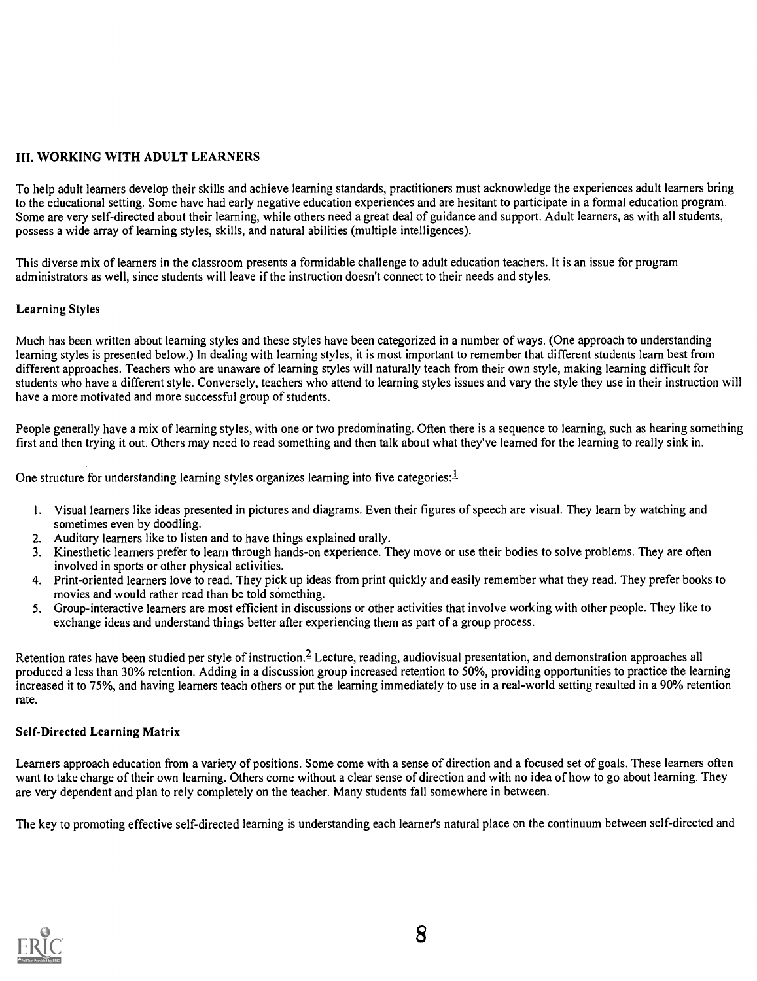# III. WORKING WITH ADULT LEARNERS

To help adult learners develop their skills and achieve learning standards, practitioners must acknowledge the experiences adult learners bring to the educational setting. Some have had early negative education experiences and are hesitant to participate in a formal education program. Some are very self-directed about their learning, while others need a great deal of guidance and support. Adult learners, as with all students, possess a wide array of learning styles, skills, and natural abilities (multiple intelligences).

This diverse mix of learners in the classroom presents a formidable challenge to adult education teachers. It is an issue for program administrators as well, since students will leave if the instruction doesn't connect to their needs and styles.

# Learning Styles

Much has been written about learning styles and these styles have been categorized in a number of ways. (One approach to understanding learning styles is presented below.) In dealing with learning styles, it is most important to remember that different students learn best from different approaches. Teachers who are unaware of learning styles will naturally teach from their own style, making learning difficult for students who have a different style. Conversely, teachers who attend to learning styles issues and vary the style they use in their instruction will have a more motivated and more successful group of students.

People generally have a mix of learning styles, with one or two predominating. Often there is a sequence to learning, such as hearing something first and then trying it out. Others may need to read something and then talk about what they've learned for the learning to really sink in.

One structure for understanding learning styles organizes learning into five categories:  $1$ 

- 1. Visual learners like ideas presented in pictures and diagrams. Even their figures of speech are visual. They learn by watching and sometimes even by doodling.
- 2. Auditory learners like to listen and to have things explained orally.
- 3. Kinesthetic learners prefer to learn through hands-on experience. They move or use their bodies to solve problems. They are often involved in sports or other physical activities.
- 4. Print-oriented learners love to read. They pick up ideas from print quickly and easily remember what they read. They prefer books to movies and would rather read than be told something.
- 5. Group-interactive learners are most efficient in discussions or other activities that involve working with other people. They like to exchange ideas and understand things better after experiencing them as part of a group process.

Retention rates have been studied per style of instruction.<sup>2</sup> Lecture, reading, audiovisual presentation, and demonstration approaches all produced a less than 30% retention. Adding in a discussion group increased retention to 50%, providing opportunities to practice the learning increased it to 75%, and having learners teach others or put the learning immediately to use in a real-world setting resulted in a 90% retention rate.

# Self-Directed Learning Matrix

Learners approach education from a variety of positions. Some come with a sense of direction and a focused set of goals. These learners often want to take charge of their own learning. Others come without a clear sense of direction and with no idea of how to go about learning. They are very dependent and plan to rely completely on the teacher. Many students fall somewhere in between.

The key to promoting effective self-directed learning is understanding each learner's natural place on the continuum between self-directed and

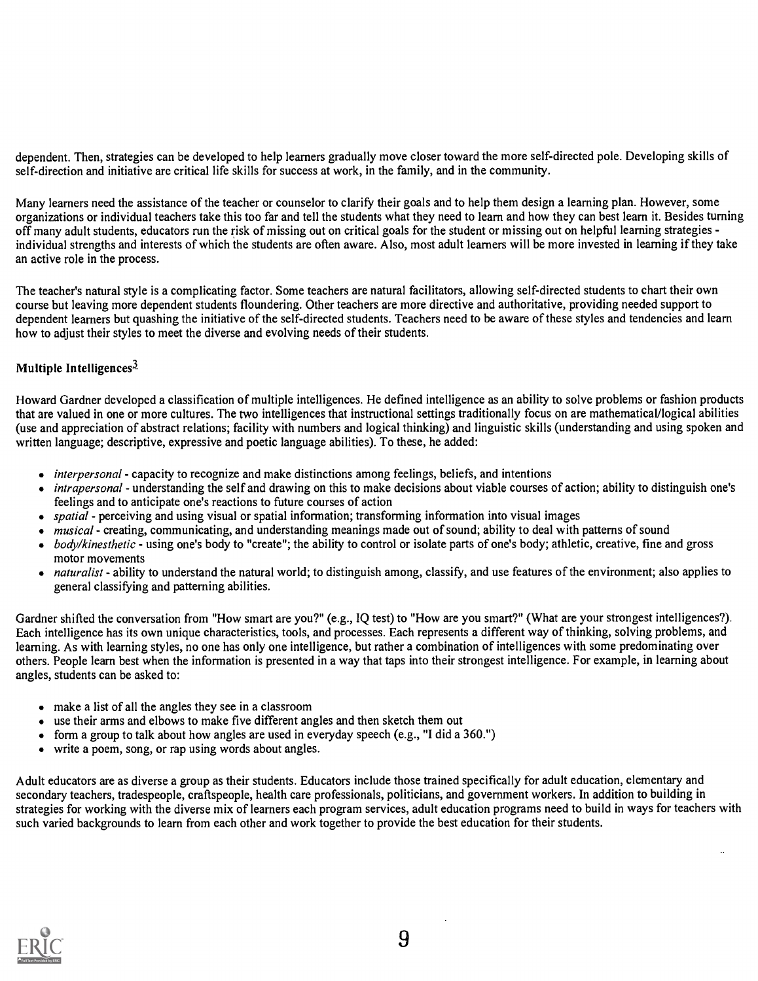dependent. Then, strategies can be developed to help learners gradually move closer toward the more self-directed pole. Developing skills of self-direction and initiative are critical life skills for success at work, in the family, and in the community.

Many learners need the assistance of the teacher or counselor to clarify their goals and to help them design a learning plan. However, some organizations or individual teachers take this too far and tell the students what they need to learn and how they can best learn it. Besides turning off many adult students, educators run the risk of missing out on critical goals for the student or missing out on helpful learning strategies individual strengths and interests of which the students are often aware. Also, most adult learners will be more invested in learning if they take an active role in the process.

The teacher's natural style is a complicating factor. Some teachers are natural facilitators, allowing self-directed students to chart their own course but leaving more dependent students floundering. Other teachers are more directive and authoritative, providing needed support to dependent learners but quashing the initiative of the self-directed students. Teachers need to be aware of these styles and tendencies and learn how to adjust their styles to meet the diverse and evolving needs of their students.

# Multiple Intelligences $3$

Howard Gardner developed a classification of multiple intelligences. He defined intelligence as an ability to solve problems or fashion products that are valued in one or more cultures. The two intelligences that instructional settings traditionally focus on are mathematical/logical abilities (use and appreciation of abstract relations; facility with numbers and logical thinking) and linguistic skills (understanding and using spoken and written language; descriptive, expressive and poetic language abilities). To these, he added:

- *interpersonal* capacity to recognize and make distinctions among feelings, beliefs, and intentions
- intrapersonal understanding the self and drawing on this to make decisions about viable courses of action; ability to distinguish one's feelings and to anticipate one's reactions to future courses of action
- $\bullet$  spatial perceiving and using visual or spatial information; transforming information into visual images
- musical creating, communicating, and understanding meanings made out of sound; ability to deal with patterns of sound  $\bullet$
- body/kinesthetic using one's body to "create"; the ability to control or isolate parts of one's body; athletic, creative, fine and gross motor movements
- naturalist ability to understand the natural world; to distinguish among, classify, and use features of the environment; also applies to general classifying and patterning abilities.

Gardner shifted the conversation from "How smart are you?" (e.g., IQ test) to "How are you smart?" (What are your strongest intelligences?). Each intelligence has its own unique characteristics, tools, and processes. Each represents a different way of thinking, solving problems, and learning. As with learning styles, no one has only one intelligence, but rather a combination of intelligences with some predominating over others. People learn best when the information is presented in a way that taps into their strongest intelligence. For example, in learning about angles, students can be asked to:

- make a list of all the angles they see in a classroom
- use their arms and elbows to make five different angles and then sketch them out
- form a group to talk about how angles are used in everyday speech (e.g., "I did a 360.")  $\bullet$
- write a poem, song, or rap using words about angles.

Adult educators are as diverse a group as their students. Educators include those trained specifically for adult education, elementary and secondary teachers, tradespeople, craftspeople, health care professionals, politicians, and government workers. In addition to building in strategies for working with the diverse mix of learners each program services, adult education programs need to build in ways for teachers with such varied backgrounds to learn from each other and work together to provide the best education for their students.

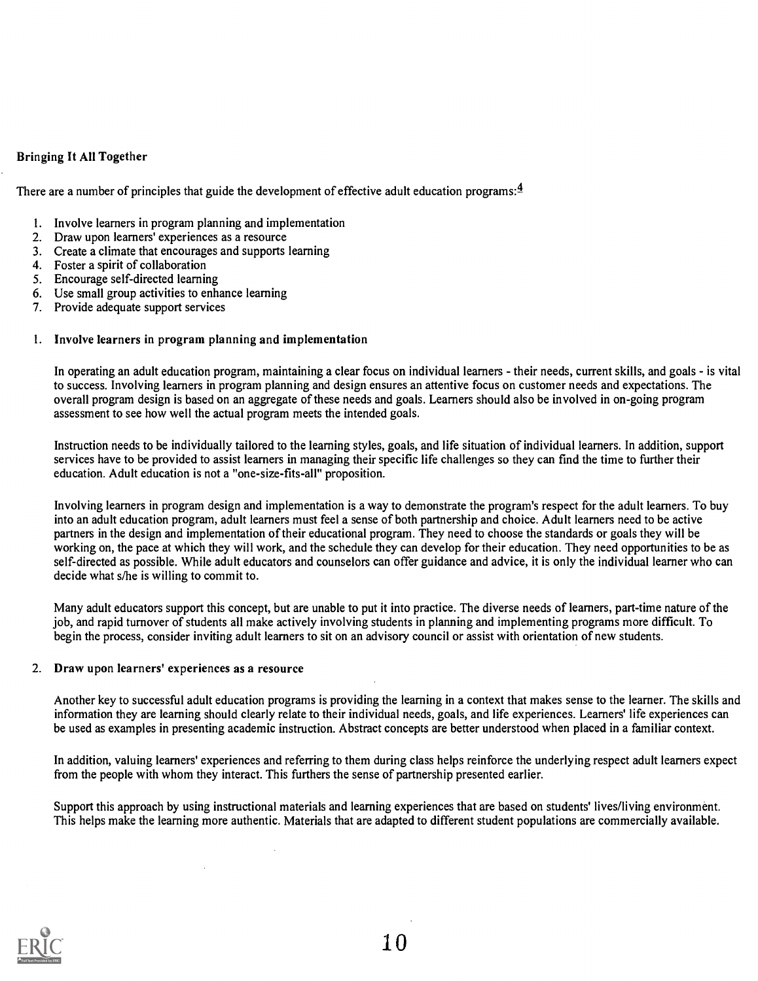# Bringing It All Together

There are a number of principles that guide the development of effective adult education programs:  $4$ 

- 1. Involve learners in program planning and implementation
- 2. Draw upon learners' experiences as a resource
- 3. Create a climate that encourages and supports learning
- 4. Foster a spirit of collaboration
- 5. Encourage self-directed learning
- 6. Use small group activities to enhance learning
- 7. Provide adequate support services

# 1. Involve learners in program planning and implementation

In operating an adult education program, maintaining a clear focus on individual learners - their needs, current skills, and goals - is vital to success. Involving learners in program planning and design ensures an attentive focus on customer needs and expectations. The overall program design is based on an aggregate of these needs and goals. Learners should also be involved in on-going program assessment to see how well the actual program meets the intended goals.

Instruction needs to be individually tailored to the learning styles, goals, and life situation of individual learners. In addition, support services have to be provided to assist learners in managing their specific life challenges so they can find the time to further their education. Adult education is not a "one-size-fits-all" proposition.

Involving learners in program design and implementation is a way to demonstrate the program's respect for the adult learners. To buy into an adult education program, adult learners must feel a sense of both partnership and choice. Adult learners need to be active partners in the design and implementation of their educational program. They need to choose the standards or goals they will be working on, the pace at which they will work, and the schedule they can develop for their education. They need opportunities to be as self-directed as possible. While adult educators and counselors can offer guidance and advice, it is only the individual learner who can decide what s/he is willing to commit to.

Many adult educators support this concept, but are unable to put it into practice. The diverse needs of learners, part-time nature of the job, and rapid turnover of students all make actively involving students in planning and implementing programs more difficult. To begin the process, consider inviting adult learners to sit on an advisory council or assist with orientation of new students.

#### 2. Draw upon learners' experiences as a resource

Another key to successful adult education programs is providing the learning in a context that makes sense to the learner. The skills and information they are learning should clearly relate to their individual needs, goals, and life experiences. Learners' life experiences can be used as examples in presenting academic instruction. Abstract concepts are better understood when placed in a familiar context.

In addition, valuing learners' experiences and referring to them during class helps reinforce the underlying respect adult learners expect from the people with whom they interact. This furthers the sense of partnership presented earlier.

Support this approach by using instructional materials and learning experiences that are based on students' lives/living environment. This helps make the learning more authentic. Materials that are adapted to different student populations are commercially available.

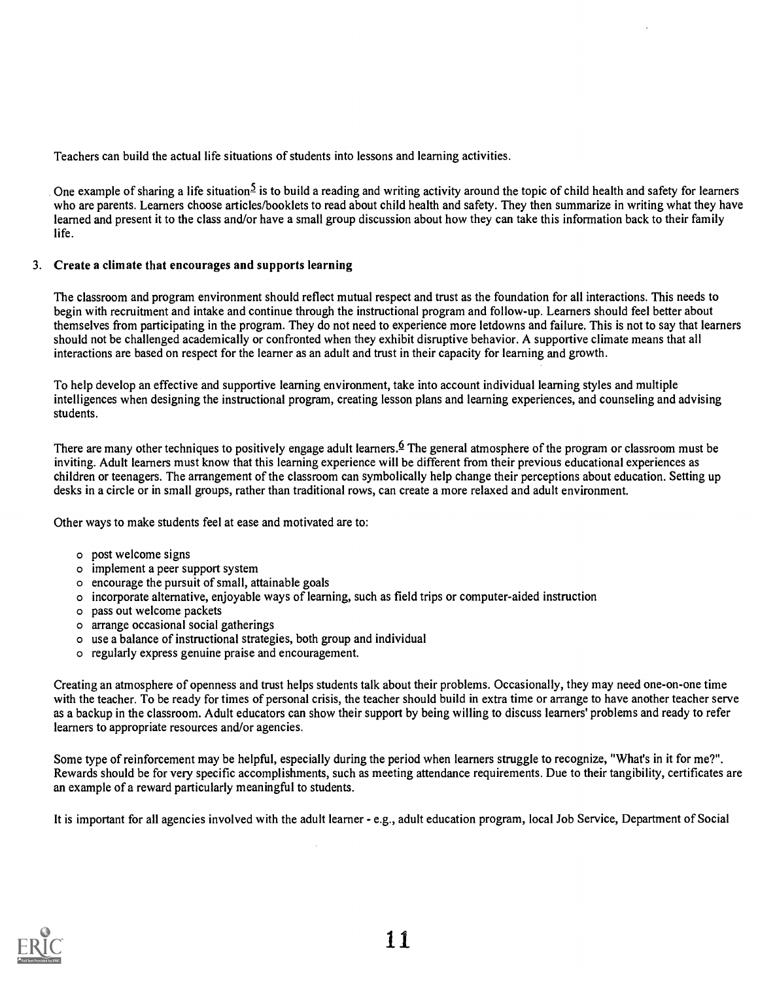Teachers can build the actual life situations of students into lessons and learning activities.

One example of sharing a life situation<sup>5</sup> is to build a reading and writing activity around the topic of child health and safety for learners who are parents. Learners choose articles/booklets to read about child health and safety. They then summarize in writing what they have learned and present it to the class and/or have a small group discussion about how they can take this information back to their family life.

# 3. Create a climate that encourages and supports learning

The classroom and program environment should reflect mutual respect and trust as the foundation for all interactions. This needs to begin with recruitment and intake and continue through the instructional program and follow-up. Learners should feel better about themselves from participating in the program. They do not need to experience more letdowns and failure. This is not to say that learners should not be challenged academically or confronted when they exhibit disruptive behavior. A supportive climate means that all interactions are based on respect for the learner as an adult and trust in their capacity for learning and growth.

To help develop an effective and supportive learning environment, take into account individual learning styles and multiple intelligences when designing the instructional program, creating lesson plans and learning experiences, and counseling and advising students.

There are many other techniques to positively engage adult learners. If the general atmosphere of the program or classroom must be inviting. Adult learners must know that this learning experience will be different from their previous educational experiences as children or teenagers. The arrangement of the classroom can symbolically help change their perceptions about education. Setting up desks in a circle or in small groups, rather than traditional rows, can create a more relaxed and adult environment.

Other ways to make students feel at ease and motivated are to:

- o post welcome signs
- o implement a peer support system
- o encourage the pursuit of small, attainable goals
- o incorporate alternative, enjoyable ways of learning, such as field trips or computer-aided instruction
- o pass out welcome packets
- o arrange occasional social gatherings
- o use a balance of instructional strategies, both group and individual
- o regularly express genuine praise and encouragement.

Creating an atmosphere of openness and trust helps students talk about their problems. Occasionally, they may need one-on-one time with the teacher. To be ready for times of personal crisis, the teacher should build in extra time or arrange to have another teacher serve as a backup in the classroom. Adult educators can show their support by being willing to discuss learners' problems and ready to refer learners to appropriate resources and/or agencies.

Some type of reinforcement may be helpful, especially during the period when learners struggle to recognize, "What's in it for me?". Rewards should be for very specific accomplishments, such as meeting attendance requirements. Due to their tangibility, certificates are an example of a reward particularly meaningful to students.

It is important for all agencies involved with the adult learner - e.g., adult education program, local Job Service, Department of Social

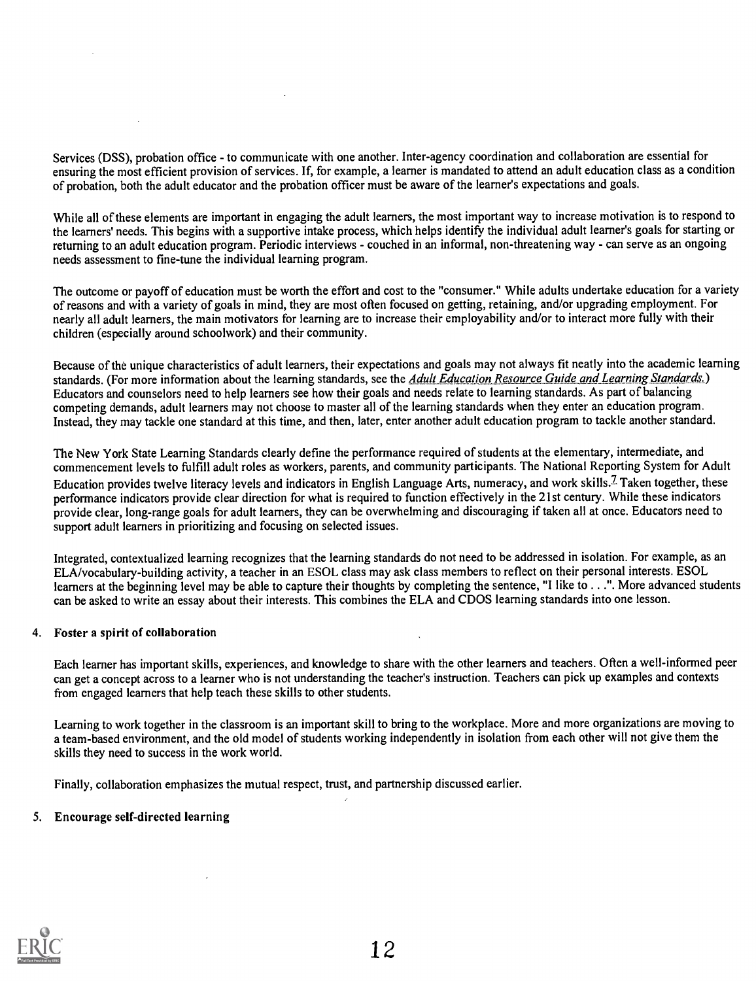Services (DSS), probation office - to communicate with one another. Inter-agency coordination and collaboration are essential for ensuring the most efficient provision of services. If, for example, a learner is mandated to attend an adult education class as a condition of probation, both the adult educator and the probation officer must be aware of the learner's expectations and goals.

While all of these elements are important in engaging the adult learners, the most important way to increase motivation is to respond to the learners' needs. This begins with a supportive intake process, which helps identify the individual adult learner's goals for starting or returning to an adult education program. Periodic interviews - couched in an informal, non-threatening way - can serve as an ongoing needs assessment to fine-tune the individual learning program.

The outcome or payoff of education must be worth the effort and cost to the "consumer." While adults undertake education for a variety of reasons and with a variety of goals in mind, they are most often focused on getting, retaining, and/or upgrading employment. For nearly all adult learners, the main motivators for learning are to increase their employability and/or to interact more fully with their children (especially around schoolwork) and their community.

Because of the unique characteristics of adult learners, their expectations and goals may not always fit neatly into the academic learning standards. (For more information about the learning standards, see the Adult Education Resource Guide and Learning Standards.) Educators and counselors need to help learners see how their goals and needs relate to learning standards. As part of balancing competing demands, adult learners may not choose to master all of the learning standards when they enter an education program. Instead, they may tackle one standard at this time, and then, later, enter another adult education program to tackle another standard.

The New York State Learning Standards clearly define the performance required of students at the elementary, intermediate, and commencement levels to fulfill adult roles as workers, parents, and community participants. The National Reporting System for Adult Education provides twelve literacy levels and indicators in English Language Arts, numeracy, and work skills.? Taken together, these performance indicators provide clear direction for what is required to function effectively in the 21st century. While these indicators provide clear, long-range goals for adult learners, they can be overwhelming and discouraging if taken all at once. Educators need to support adult learners in prioritizing and focusing on selected issues.

Integrated, contextualized learning recognizes that the learning standards do not need to be addressed in isolation. For example, as an ELA/vocabulary-building activity, a teacher in an ESOL class may ask class members to reflect on their personal interests. ESOL learners at the beginning level may be able to capture their thoughts by completing the sentence, "I like to . . .". More advanced students can be asked to write an essay about their interests. This combines the ELA and CDOS learning standards into one lesson.

# 4. Foster a spirit of collaboration

Each learner has important skills, experiences, and knowledge to share with the other learners and teachers. Often a well-informed peer can get a concept across to a learner who is not understanding the teacher's instruction. Teachers can pick up examples and contexts from engaged learners that help teach these skills to other students.

Learning to work together in the classroom is an important skill to bring to the workplace. More and more organizations are moving to a team-based environment, and the old model of students working independently in isolation from each other will not give them the skills they need to success in the work world.

Finally, collaboration emphasizes the mutual respect, trust, and partnership discussed earlier.

# 5. Encourage self-directed learning

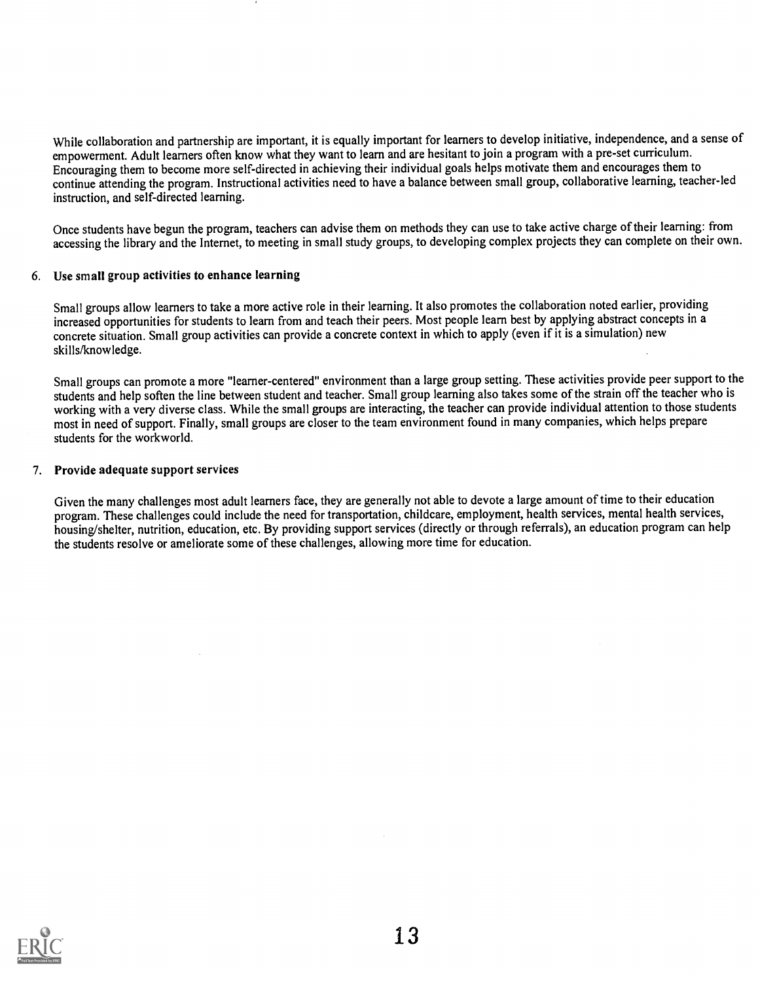While collaboration and partnership are important, it is equally important for learners to develop initiative, independence, and a sense of empowerment. Adult learners often know what they want to learn and are hesitant to join a program with a pre-set curriculum. Encouraging them to become more self-directed in achieving their individual goals helps motivate them and encourages them to continue attending the program. Instructional activities need to have a balance between small group, collaborative learning, teacher-led instruction, and self-directed learning.

Once students have begun the program, teachers can advise them on methods they can use to take active charge of their learning: from accessing the library and the Internet, to meeting in small study groups, to developing complex projects they can complete on their own.

# 6. Use small group activities to enhance learning

Small groups allow learners to take a more active role in their learning. It also promotes the collaboration noted earlier, providing increased opportunities for students to learn from and teach their peers. Most people learn best by applying abstract concepts in a concrete situation. Small group activities can provide a concrete context in which to apply (even if it is a simulation) new skills/knowledge.

Small groups can promote a more "learner-centered" environment than a large group setting. These activities provide peer support to the students and help soften the line between student and teacher. Small group learning also takes some of the strain off the teacher who is working with a very diverse class. While the small groups are interacting, the teacher can provide individual attention to those students most in need of support. Finally, small groups are closer to the team environment found in many companies, which helps prepare students for the workworld.

#### 7. Provide adequate support services

Given the many challenges most adult learners face, they are generally not able to devote a large amount of time to their education program. These challenges could include the need for transportation, childcare, employment, health services, mental health services, housing/shelter, nutrition, education, etc. By providing support services (directly or through referrals), an education program can help the students resolve or ameliorate some of these challenges, allowing more time for education.

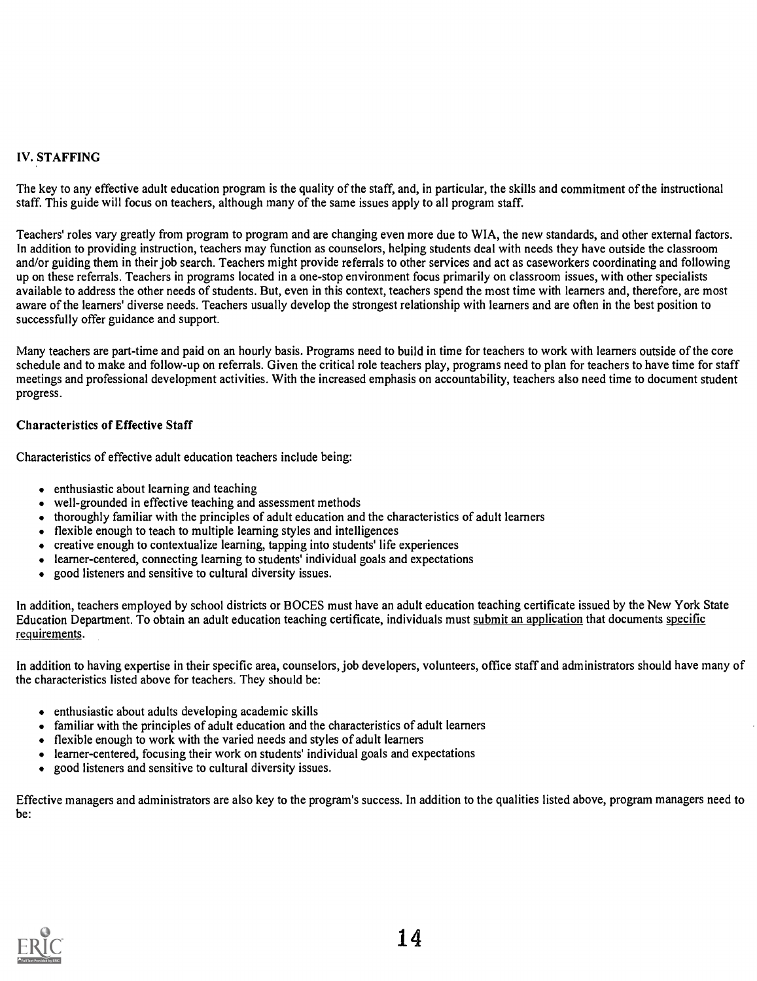# IV. STAFFING

The key to any effective adult education program is the quality of the staff, and, in particular, the skills and commitment of the instructional staff. This guide will focus on teachers, although many of the same issues apply to all program staff.

Teachers' roles vary greatly from program to program and are changing even more due to WIA, the new standards, and other external factors. In addition to providing instruction, teachers may function as counselors, helping students deal with needs they have outside the classroom and/or guiding them in their job search. Teachers might provide referrals to other services and act as caseworkers coordinating and following up on these referrals. Teachers in programs located in a one-stop environment focus primarily on classroom issues, with other specialists available to address the other needs of students. But, even in this context, teachers spend the most time with learners and, therefore, are most aware of the learners' diverse needs. Teachers usually develop the strongest relationship with learners and are often in the best position to successfully offer guidance and support.

Many teachers are part-time and paid on an hourly basis. Programs need to build in time for teachers to work with learners outside of the core schedule and to make and follow-up on referrals. Given the critical role teachers play, programs need to plan for teachers to have time for staff meetings and professional development activities. With the increased emphasis on accountability, teachers also need time to document student progress.

# Characteristics of Effective Staff

Characteristics of effective adult education teachers include being:

- enthusiastic about learning and teaching
- well-grounded in effective teaching and assessment methods
- thoroughly familiar with the principles of adult education and the characteristics of adult learners  $\bullet$
- flexible enough to teach to multiple learning styles and intelligences
- creative enough to contextualize learning, tapping into students' life experiences
- learner-centered, connecting learning to students' individual goals and expectations  $\bullet$
- good listeners and sensitive to cultural diversity issues.  $\bullet$

In addition, teachers employed by school districts or BOCES must have an adult education teaching certificate issued by the New York State Education Department. To obtain an adult education teaching certificate, individuals must submit an application that documents specific requirements.

In addition to having expertise in their specific area, counselors, job developers, volunteers, office staff and administrators should have many of the characteristics listed above for teachers. They should be:

- enthusiastic about adults developing academic skills
- familiar with the principles of adult education and the characteristics of adult learners
- flexible enough to work with the varied needs and styles of adult learners  $\bullet$
- learner-centered, focusing their work on students' individual goals and expectations  $\bullet$
- good listeners and sensitive to cultural diversity issues.  $\bullet$

Effective managers and administrators are also key to the program's success. In addition to the qualities listed above, program managers need to be:

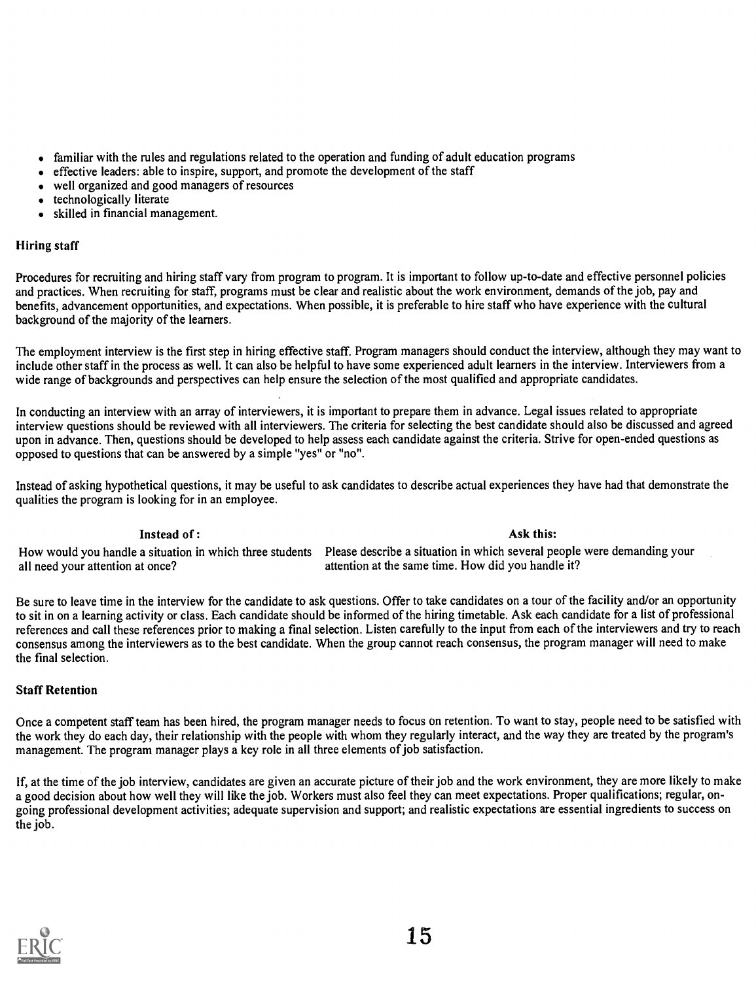- familiar with the rules and regulations related to the operation and funding of adult education programs  $\bullet$
- effective leaders: able to inspire, support, and promote the development of the staff  $\bullet$
- well organized and good managers of resources
- technologically literate
- skilled in financial management.  $\bullet$

# Hiring staff

Procedures for recruiting and hiring staff vary from program to program. It is important to follow up-to-date and effective personnel policies and practices. When recruiting for staff, programs must be clear and realistic about the work environment, demands of the job, pay and benefits, advancement opportunities, and expectations. When possible, it is preferable to hire staff who have experience with the cultural background of the majority of the learners.

The employment interview is the first step in hiring effective staff. Program managers should conduct the interview, although they may want to include other staff in the process as well. It can also be helpful to have some experienced adult learners in the interview. Interviewers from a wide range of backgrounds and perspectives can help ensure the selection of the most qualified and appropriate candidates.

In conducting an interview with an array of interviewers, it is important to prepare them in advance. Legal issues related to appropriate interview questions should be reviewed with all interviewers. The criteria for selecting the best candidate should also be discussed and agreed upon in advance. Then, questions should be developed to help assess each candidate against the criteria. Strive for open-ended questions as opposed to questions that can be answered by a simple "yes" or "no".

Instead of asking hypothetical questions, it may be useful to ask candidates to describe actual experiences they have had that demonstrate the qualities the program is looking for in an employee.

# Instead of : Ask this: Ask this:

# How would you handle a situation in which three students Please describe a situation in which several people were demanding your all need your attention at once?<br>attention at the same time. How did you handle it? attention at the same time. How did you handle it?

Be sure to leave time in the interview for the candidate to ask questions. Offer to take candidates on a tour of the facility and/or an opportunity to sit in on a learning activity or class. Each candidate should be informed of the hiring timetable. Ask each candidate for a list of professional references and call these references prior to making a final selection. Listen carefully to the input from each of the interviewers and try to reach consensus among the interviewers as to the best candidate. When the group cannot reach consensus, the program manager will need to make the final selection.

# Staff Retention

Once a competent staff team has been hired, the program manager needs to focus on retention. To want to stay, people need to be satisfied with the work they do each day, their relationship with the people with whom they regularly interact, and the way they are treated by the program's management. The program manager plays a key role in all three elements of job satisfaction.

If, at the time of the job interview, candidates are given an accurate picture of their job and the work environment, they are more likely to make a good decision about how well they will like the job. Workers must also feel they can meet expectations. Proper qualifications; regular, ongoing professional development activities; adequate supervision and support; and realistic expectations are essential ingredients to success on the job.

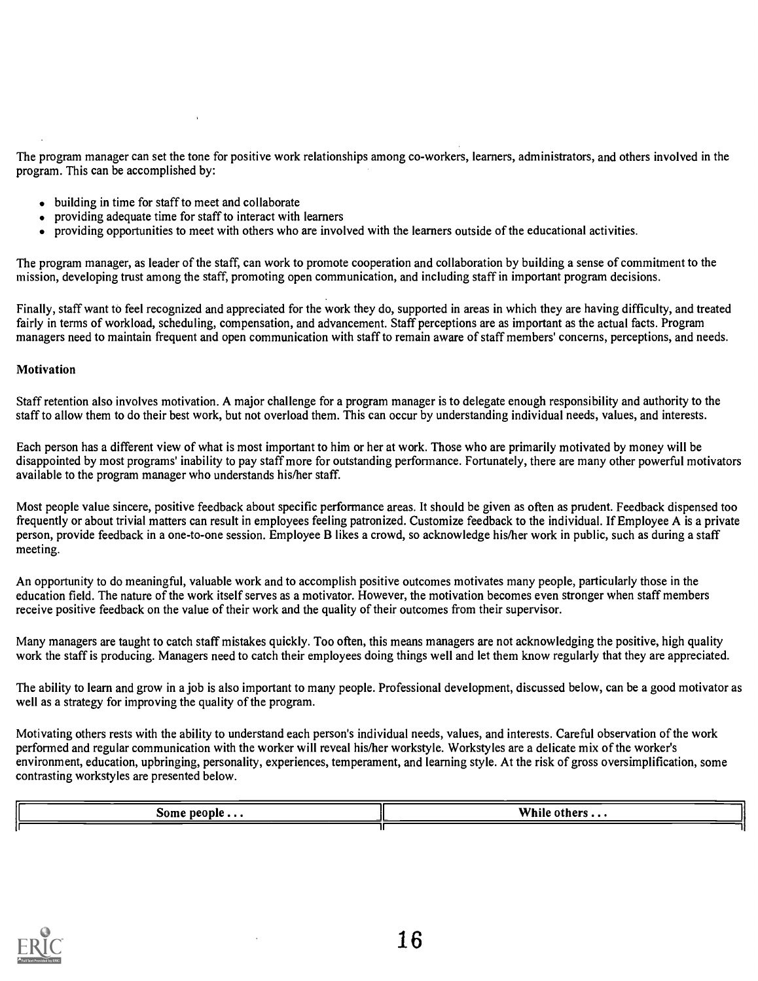The program manager can set the tone for positive work relationships among co-workers, learners, administrators, and others involved in the program. This can be accomplished by:

- $\bullet$  building in time for staff to meet and collaborate
- providing adequate time for staff to interact with learners
- providing opportunities to meet with others who are involved with the learners outside of the educational activities.

The program manager, as leader of the staff, can work to promote cooperation and collaboration by building a sense of commitment to the mission, developing trust among the staff, promoting open communication, and including staff in important program decisions.

Finally, staff want to feel recognized and appreciated for the work they do, supported in areas in which they are having difficulty, and treated fairly in terms of workload, scheduling, compensation, and advancement. Staff perceptions are as important as the actual facts. Program managers need to maintain frequent and open communication with staff to remain aware of staff members' concerns, perceptions, and needs.

# **Motivation**

Staff retention also involves motivation. A major challenge for a program manager is to delegate enough responsibility and authority to the staff to allow them to do their best work, but not overload them. This can occur by understanding individual needs, values, and interests.

Each person has a different view of what is most important to him or her at work. Those who are primarily motivated by money will be disappointed by most programs' inability to pay staff more for outstanding performance. Fortunately, there are many other powerful motivators available to the program manager who understands his/her staff.

Most people value sincere, positive feedback about specific performance areas. It should be given as often as prudent. Feedback dispensed too frequently or about trivial matters can result in employees feeling patronized. Customize feedback to the individual. If Employee A is a private person, provide feedback in a one-to-one session. Employee B likes a crowd, so acknowledge his/her work in public, such as during a staff meeting.

An opportunity to do meaningful, valuable work and to accomplish positive outcomes motivates many people, particularly those in the education field. The nature of the work itself serves as a motivator. However, the motivation becomes even stronger when staff members receive positive feedback on the value of their work and the quality of their outcomes from their supervisor.

Many managers are taught to catch staff mistakes quickly. Too often, this means managers are not acknowledging the positive, high quality work the staff is producing. Managers need to catch their employees doing things well and let them know regularly that they are appreciated.

The ability to learn and grow in a job is also important to many people. Professional development, discussed below, can be a good motivator as well as a strategy for improving the quality of the program.

Motivating others rests with the ability to understand each person's individual needs, values, and interests. Careful observation of the work performed and regular communication with the worker will reveal his/her workstyle. Workstyles are a delicate mix of the worker's environment, education, upbringing, personality, experiences, temperament, and learning style. At the risk of gross oversimplification, some contrasting workstyles are presented below.

| Some people | While                           |
|-------------|---------------------------------|
| .           | $\cdot$ $\circ$ others $\ldots$ |
|             |                                 |

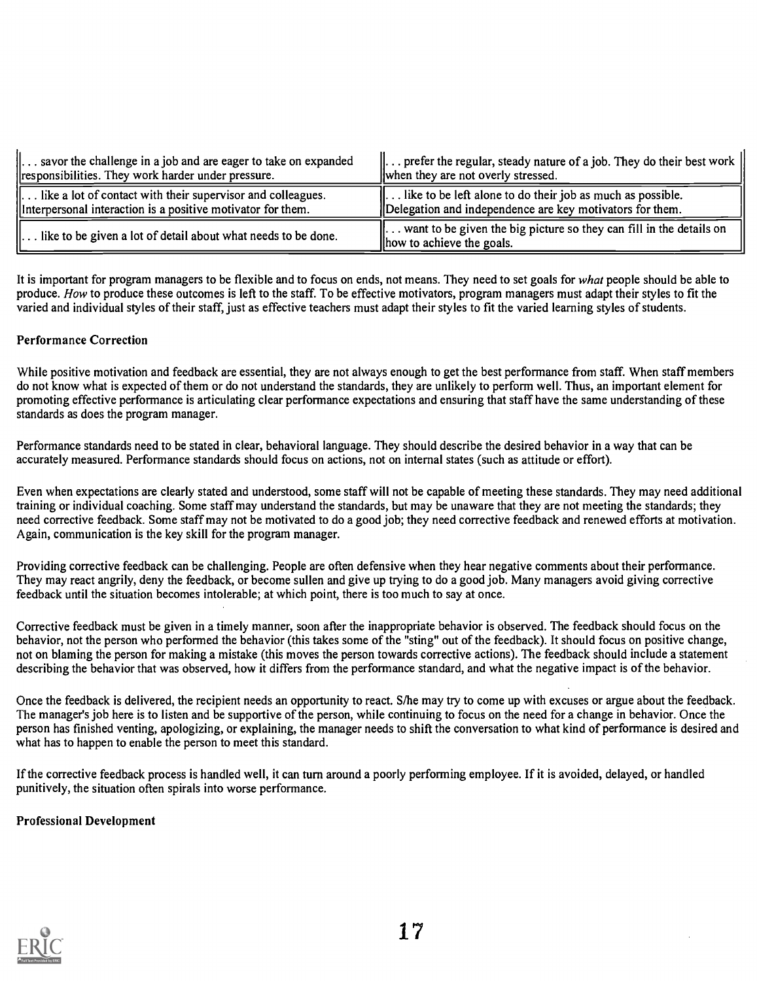| $\parallel$ savor the challenge in a job and are eager to take on expanded<br>responsibilities. They work harder under pressure.       | $\parallel$ prefer the regular, steady nature of a job. They do their best work $\parallel$<br>when they are not overly stressed.  |  |
|----------------------------------------------------------------------------------------------------------------------------------------|------------------------------------------------------------------------------------------------------------------------------------|--|
| $\parallel$ like a lot of contact with their supervisor and colleagues.<br>Interpersonal interaction is a positive motivator for them. | $\parallel$ like to be left alone to do their job as much as possible.<br>Delegation and independence are key motivators for them. |  |
| $\parallel$ like to be given a lot of detail about what needs to be done.                                                              | $\parallel$ want to be given the big picture so they can fill in the details on<br>lhow to achieve the goals.                      |  |

It is important for program managers to be flexible and to focus on ends, not means. They need to set goals for what people should be able to produce. How to produce these outcomes is left to the staff. To be effective motivators, program managers must adapt their styles to fit the varied and individual styles of their staff, just as effective teachers must adapt their styles to fit the varied learning styles of students.

# Performance Correction

While positive motivation and feedback are essential, they are not always enough to get the best performance from staff. When staff members do not know what is expected of them or do not understand the standards, they are unlikely to perform well. Thus, an important element for promoting effective performance is articulating clear performance expectations and ensuring that staff have the same understanding of these standards as does the program manager.

Performance standards need to be stated in clear, behavioral language. They should describe the desired behavior in a way that can be accurately measured. Performance standards should focus on actions, not on internal states (such as attitude or effort).

Even when expectations are clearly stated and understood, some staff will not be capable of meeting these standards. They may need additional training or individual coaching. Some staff may understand the standards, but may be unaware that they are not meeting the standards; they need corrective feedback. Some staff may not be motivated to do a good job; they need corrective feedback and renewed efforts at motivation. Again, communication is the key skill for the program manager.

Providing corrective feedback can be challenging. People are often defensive when they hear negative comments about their performance. They may react angrily, deny the feedback, or become sullen and give up trying to do a good job. Many managers avoid giving corrective feedback until the situation becomes intolerable; at which point, there is too much to say at once.

Corrective feedback must be given in a timely manner, soon after the inappropriate behavior is observed. The feedback should focus on the behavior, not the person who performed the behavior (this takes some of the "sting" out of the feedback). It should focus on positive change, not on blaming the person for making a mistake (this moves the person towards corrective actions). The feedback should include a statement describing the behavior that was observed, how it differs from the performance standard, and what the negative impact is of the behavior.

Once the feedback is delivered, the recipient needs an opportunity to react. S/he may try to come up with excuses or argue about the feedback. The manager's job here is to listen and be supportive of the person, while continuing to focus on the need for a change in behavior. Once the person has finished venting, apologizing, or explaining, the manager needs to shift the conversation to what kind of performance is desired and what has to happen to enable the person to meet this standard.

If the corrective feedback process is handled well, it can turn around a poorly performing employee. If it is avoided, delayed, or handled punitively, the situation often spirals into worse performance.

# Professional Development

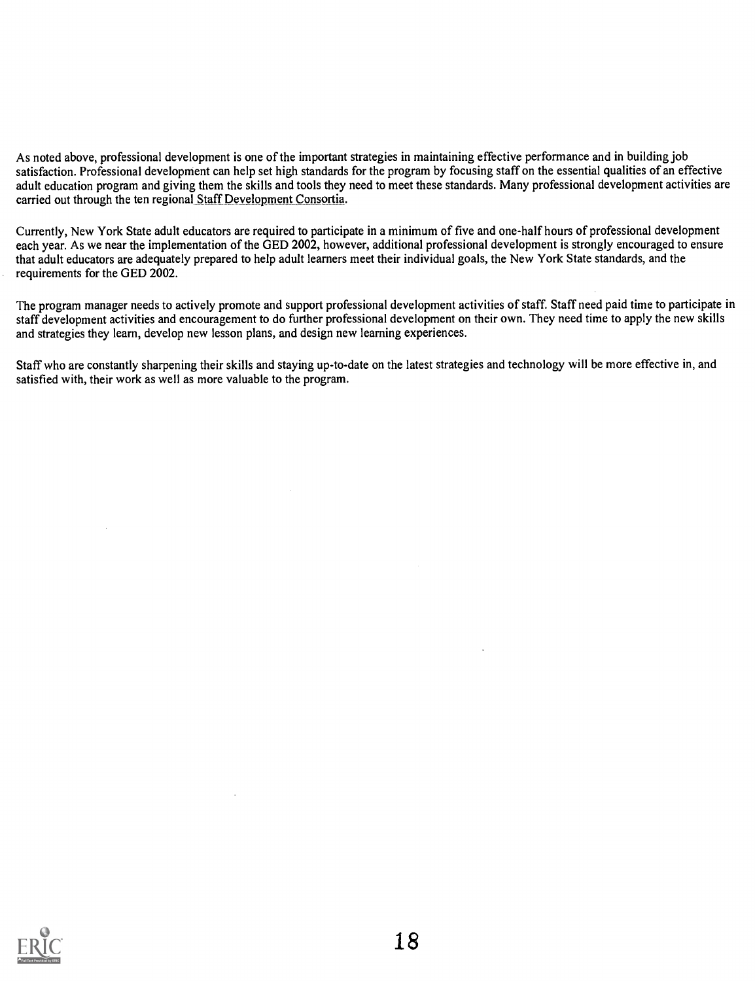As noted above, professional development is one of the important strategies in maintaining effective performance and in building job satisfaction. Professional development can help set high standards for the program by focusing staff on the essential qualities of an effective adult education program and giving them the skills and tools they need to meet these standards. Many professional development activities are carried out through the ten regional Staff Development Consortia.

Currently, New York State adult educators are required to participate in a minimum of five and one-half hours of professional development each year. As we near the implementation of the GED 2002, however, additional professional development is strongly encouraged to ensure that adult educators are adequately prepared to help adult learners meet their individual goals, the New York State standards, and the requirements for the GED 2002.

The program manager needs to actively promote and support professional development activities of staff. Staff need paid time to participate in staff development activities and encouragement to do further professional development on their own. They need time to apply the new skills and strategies they learn, develop new lesson plans, and design new learning experiences.

Staff who are constantly sharpening their skills and staying up-to-date on the latest strategies and technology will be more effective in, and satisfied with, their work as well as more valuable to the program.

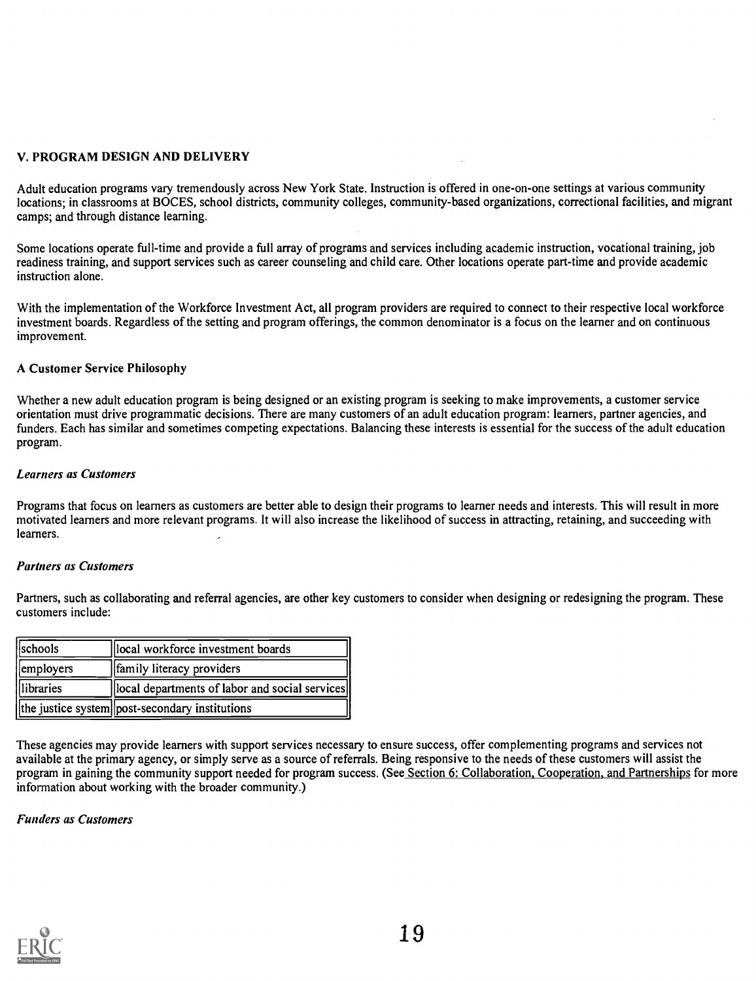# V. PROGRAM DESIGN AND DELIVERY

Adult education programs vary tremendously across New York State. Instruction is offered in one-on-one settings at various community locations; in classrooms at BOCES, school districts, community colleges, community-based organizations, correctional facilities, and migrant camps; and through distance learning.

Some locations operate full-time and provide a full array of programs and services including academic instruction, vocational training, job readiness training, and support services such as career counseling and child care. Other locations operate part-time and provide academic instruction alone.

With the implementation of the Workforce Investment Act, all program providers are required to connect to their respective local workforce investment boards. Regardless of the setting and program offerings, the common denominator is a focus on the learner and on continuous improvement.

# A Customer Service Philosophy

Whether a new adult education program is being designed or an existing program is seeking to make improvements, a customer service orientation must drive programmatic decisions. There are many customers of an adult education program: learners, partner agencies, and funders. Each has similar and sometimes competing expectations. Balancing these interests is essential for the success of the adult education program.

# Learners as Customers

Programs that focus on learners as customers are better able to design their programs to learner needs and interests. This will result in more motivated learners and more relevant programs. It will also increase the likelihood of success in attracting, retaining, and succeeding with learners.

# Partners as Customers

Partners, such as collaborating and referral agencies, are other key customers to consider when designing or redesigning the program. These customers include:

| <i><b>Schools</b></i> | local workforce investment boards                        |
|-----------------------|----------------------------------------------------------|
| employers             | <b>f</b> amily literacy providers                        |
| <i>dibraries</i>      | local departments of labor and social services           |
|                       | $\ $ the justice system $\ $ post-secondary institutions |

These agencies may provide learners with support services necessary to ensure success, offer complementing programs and services not available at the primary agency, or simply serve as a source of referrals. Being responsive to the needs of these customers will assist the program in gaining the community support needed for program success. (See Section 6: Collaboration, Cooperation, and Partnerships for more information about working with the broader community.)

# Funders as Customers

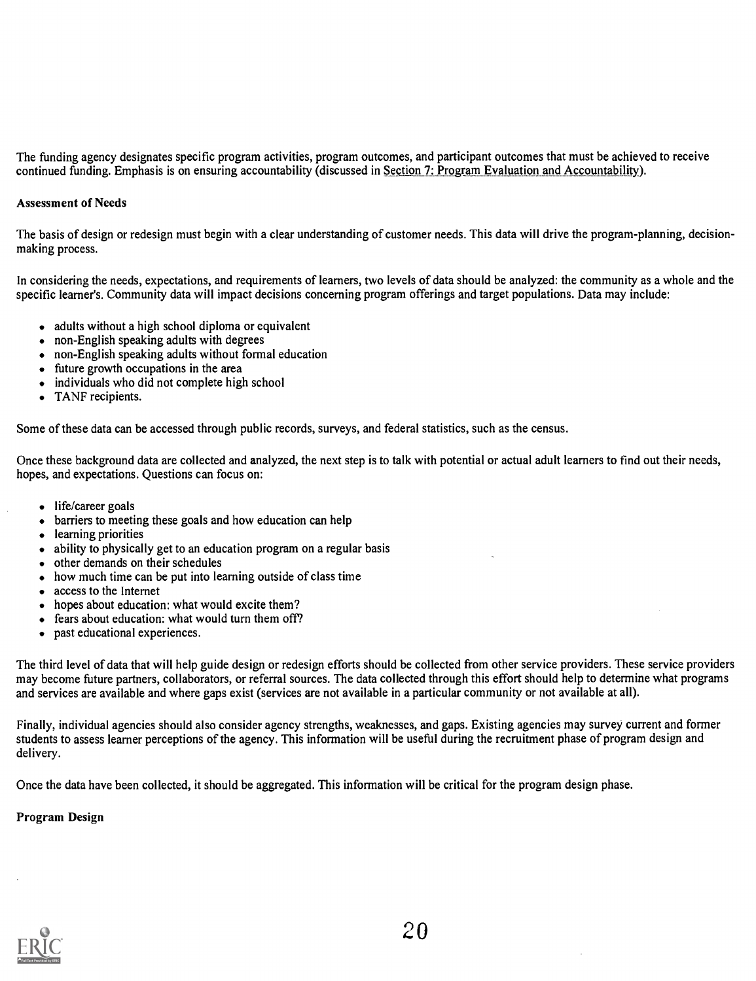The funding agency designates specific program activities, program outcomes, and participant outcomes that must be achieved to receive continued funding. Emphasis is on ensuring accountability (discussed in Section 7: Program Evaluation and Accountability).

# Assessment of Needs

The basis of design or redesign must begin with a clear understanding of customer needs. This data will drive the program-planning, decisionmaking process.

In considering the needs, expectations, and requirements of learners, two levels of data should be analyzed: the community as a whole and the specific learner's. Community data will impact decisions concerning program offerings and target populations. Data may include:

- adults without a high school diploma or equivalent
- non-English speaking adults with degrees
- non-English speaking adults without formal education
- future growth occupations in the area
- individuals who did not complete high school
- TANF recipients.

Some of these data can be accessed through public records, surveys, and federal statistics, such as the census.

Once these background data are collected and analyzed, the next step is to talk with potential or actual adult learners to find out their needs, hopes, and expectations. Questions can focus on:

- life/career goals
- barriers to meeting these goals and how education can help
- learning priorities
- ability to physically get to an education program on a regular basis
- other demands on their schedules
- how much time can be put into learning outside of class time
- access to the Internet
- hopes about education: what would excite them?
- fears about education: what would turn them off?  $\bullet$
- past educational experiences.  $\bullet$

The third level of data that will help guide design or redesign efforts should be collected from other service providers. These service providers may become future partners, collaborators, or referral sources. The data collected through this effort should help to determine what programs and services are available and where gaps exist (services are not available in a particular community or not available at all).

Finally, individual agencies should also consider agency strengths, weaknesses, and gaps. Existing agencies may survey current and former students to assess learner perceptions of the agency. This information will be useful during the recruitment phase of program design and delivery.

Once the data have been collected, it should be aggregated. This information will be critical for the program design phase.

# Program Design

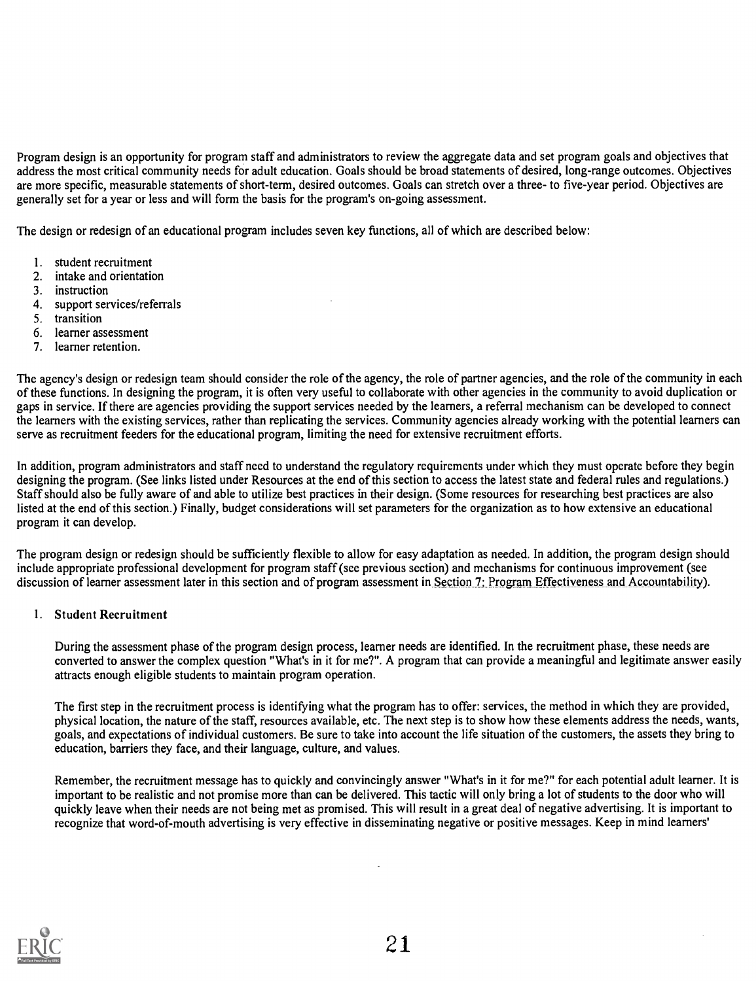Program design is an opportunity for program staff and administrators to review the aggregate data and set program goals and objectives that address the most critical community needs for adult education. Goals should be broad statements of desired, long-range outcomes. Objectives are more specific, measurable statements of short-term, desired outcomes. Goals can stretch over a three- to five-year period. Objectives are generally set for a year or less and will form the basis for the program's on-going assessment.

The design or redesign of an educational program includes seven key functions, all of which are described below:

- 1. student recruitment
- 2. intake and orientation
- 3. instruction
- 4. support services/referrals
- 5. transition
- 6. learner assessment
- 7. learner retention.

The agency's design or redesign team should consider the role of the agency, the role of partner agencies, and the role of the community in each of these functions. In designing the program, it is often very useful to collaborate with other agencies in the community to avoid duplication or gaps in service. If there are agencies providing the support services needed by the learners, a referral mechanism can be developed to connect the learners with the existing services, rather than replicating the services. Community agencies already working with the potential learners can serve as recruitment feeders for the educational program, limiting the need for extensive recruitment efforts.

In addition, program administrators and staff need to understand the regulatory requirements under which they must operate before they begin designing the program. (See links listed under Resources at the end of this section to access the latest state and federal rules and regulations.) Staff should also be fully aware of and able to utilize best practices in their design. (Some resources for researching best practices are also listed at the end of this section.) Finally, budget considerations will set parameters for the organization as to how extensive an educational program it can develop.

The program design or redesign should be sufficiently flexible to allow for easy adaptation as needed. In addition, the program design should include appropriate professional development for program staff (see previous section) and mechanisms for continuous improvement (see discussion of learner assessment later in this section and of program assessment in Section 7: Program Effectiveness and Accountability).

1. Student Recruitment

During the assessment phase of the program design process, learner needs are identified. In the recruitment phase, these needs are converted to answer the complex question "What's in it for me?". A program that can provide a meaningful and legitimate answer easily attracts enough eligible students to maintain program operation.

The first step in the recruitment process is identifying what the program has to offer: services, the method in which they are provided, physical location, the nature of the staff, resources available, etc. The next step is to show how these elements address the needs, wants, goals, and expectations of individual customers. Be sure to take into account the life situation of the customers, the assets they bring to education, barriers they face, and their language, culture, and values.

Remember, the recruitment message has to quickly and convincingly answer "What's in it for me?" for each potential adult learner. It is important to be realistic and not promise more than can be delivered. This tactic will only bring a lot of students to the door who will quickly leave when their needs are not being met as promised. This will result in a great deal of negative advertising. It is important to recognize that word-of-mouth advertising is very effective in disseminating negative or positive messages. Keep in mind learners'

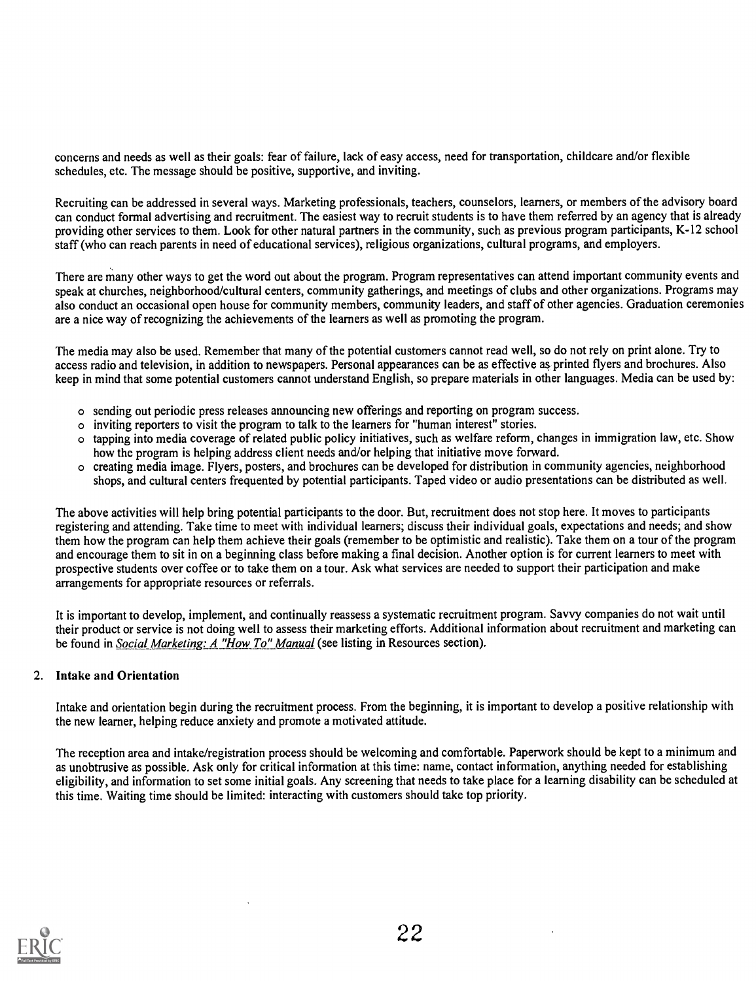concerns and needs as well as their goals: fear of failure, lack of easy access, need for transportation, childcare and/or flexible schedules, etc. The message should be positive, supportive, and inviting.

Recruiting can be addressed in several ways. Marketing professionals, teachers, counselors, learners, or members of the advisory board can conduct formal advertising and recruitment. The easiest way to recruit students is to have them referred by an agency that is already providing other services to them. Look for other natural partners in the community, such as previous program participants, K-12 school staff (who can reach parents in need of educational services), religious organizations, cultural programs, and employers.

There are many other ways to get the word out about the program. Program representatives can attend important community events and speak at churches, neighborhood/cultural centers, community gatherings, and meetings of clubs and other organizations. Programs may also conduct an occasional open house for community members, community leaders, and staff of other agencies. Graduation ceremonies are a nice way of recognizing the achievements of the learners as well as promoting the program.

The media may also be used. Remember that many of the potential customers cannot read well, so do not rely on print alone. Try to access radio and television, in addition to newspapers. Personal appearances can be as effective as printed flyers and brochures. Also keep in mind that some potential customers cannot understand English, so prepare materials in other languages. Media can be used by:

- o sending out periodic press releases announcing new offerings and reporting on program success.
- o inviting reporters to visit the program to talk to the learners for "human interest" stories.
- o tapping into media coverage of related public policy initiatives, such as welfare reform, changes in immigration law, etc. Show how the program is helping address client needs and/or helping that initiative move forward.
- o creating media image. Flyers, posters, and brochures can be developed for distribution in community agencies, neighborhood shops, and cultural centers frequented by potential participants. Taped video or audio presentations can be distributed as well.

The above activities will help bring potential participants to the door. But, recruitment does not stop here. It moves to participants registering and attending. Take time to meet with individual learners; discuss their individual goals, expectations and needs; and show them how the program can help them achieve their goals (remember to be optimistic and realistic). Take them on a tour of the program and encourage them to sit in on a beginning class before making a final decision. Another option is for current learners to meet with prospective students over coffee or to take them on a tour. Ask what services are needed to support their participation and make arrangements for appropriate resources or referrals.

It is important to develop, implement, and continually reassess a systematic recruitment program. Savvy companies do not wait until their product or service is not doing well to assess their marketing efforts. Additional information about recruitment and marketing can be found in Social Marketing: A "How To" Manual (see listing in Resources section).

# 2. Intake and Orientation

Intake and orientation begin during the recruitment process. From the beginning, it is important to develop a positive relationship with the new learner, helping reduce anxiety and promote a motivated attitude.

The reception area and intake/registration process should be welcoming and comfortable. Paperwork should be kept to a minimum and as unobtrusive as possible. Ask only for critical information at this time: name, contact information, anything needed for establishing eligibility, and information to set some initial goals. Any screening that needs to take place for a learning disability can be scheduled at this time. Waiting time should be limited: interacting with customers should take top priority.

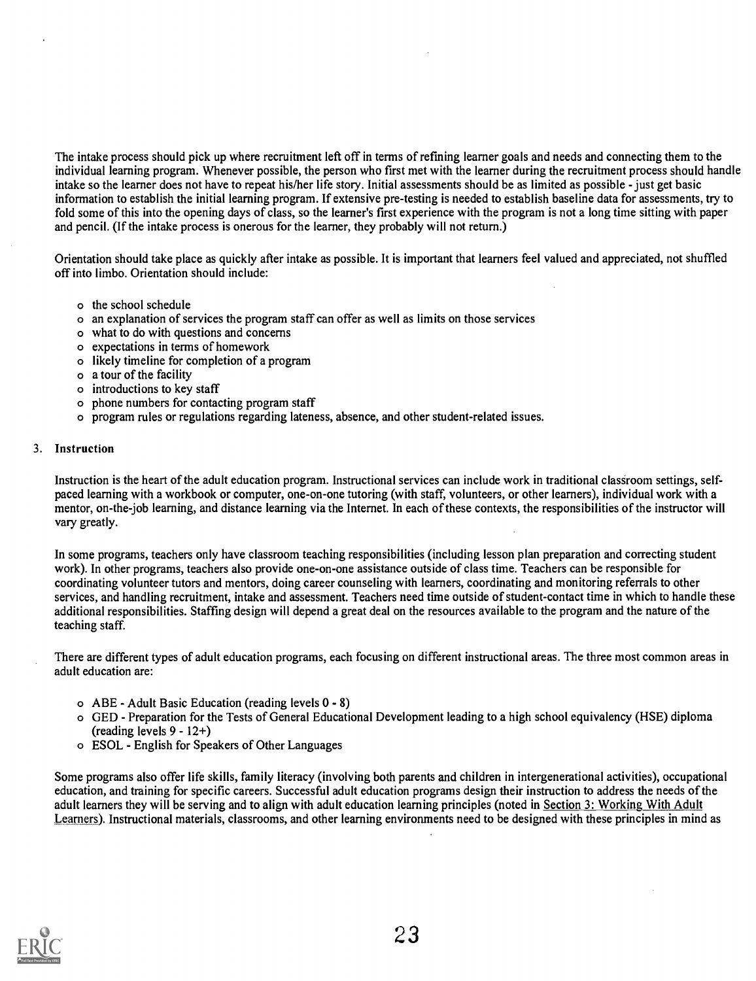The intake process should pick up where recruitment left off in terms of refining learner goals and needs and connecting them to the individual learning program. Whenever possible, the person who first met with the learner during the recruitment process should handle intake so the learner does not have to repeat his/her life story. Initial assessments should be as limited as possible - just get basic information to establish the initial learning program. If extensive pre-testing is needed to establish baseline data for assessments, try to fold some of this into the opening days of class, so the learner's first experience with the program is not a long time sitting with paper and pencil. (If the intake process is onerous for the learner, they probably will not return.)

Orientation should take place as quickly after intake as possible. It is important that learners feel valued and appreciated, not shuffled off into limbo. Orientation should include:

- o the school schedule
- o an explanation of services the program staff can offer as well as limits on those services
- o what to do with questions and concerns
- o expectations in terms of homework
- o likely timeline for completion of a program
- o a tour of the facility
- o introductions to key staff
- o phone numbers for contacting program staff
- o program rules or regulations regarding lateness, absence, and other student-related issues.

#### 3. Instruction

Instruction is the heart of the adult education program. Instructional services can include work in traditional classroom settings, selfpaced learning with a workbook or computer, one-on-one tutoring (with staff, volunteers, or other learners), individual work with a mentor, on-the-job learning, and distance learning via the Internet. In each of these contexts, the responsibilities of the instructor will vary greatly.

In some programs, teachers only have classroom teaching responsibilities (including lesson plan preparation and correcting student work). In other programs, teachers also provide one-on-one assistance outside of class time. Teachers can be responsible for coordinating volunteer tutors and mentors, doing career counseling with learners, coordinating and monitoring referrals to other services, and handling recruitment, intake and assessment. Teachers need time outside of student-contact time in which to handle these additional responsibilities. Staffing design will depend a great deal on the resources available to the program and the nature of the teaching staff.

There are different types of adult education programs, each focusing on different instructional areas. The three most common areas in adult education are:

- o ABE Adult Basic Education (reading levels 0 8)
- o GED Preparation for the Tests of General Educational Development leading to a high school equivalency (HSE) diploma (reading levels 9 - 12+)
- o ESOL English for Speakers of Other Languages

Some programs also offer life skills, family literacy (involving both parents and children in intergenerational activities), occupational education, and training for specific careers. Successful adult education programs design their instruction to address the needs of the adult learners they will be serving and to align with adult education learning principles (noted in Section 3: Working With Adult Learners). Instructional materials, classrooms, and other learning environments need to be designed with these principles in mind as

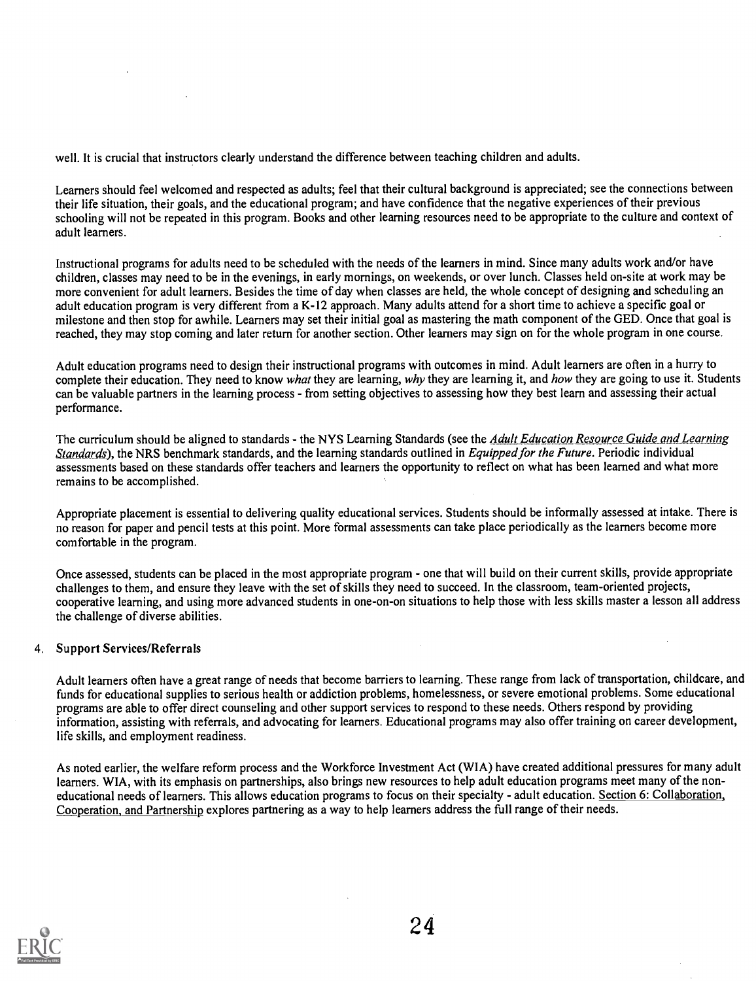well. It is crucial that instructors clearly understand the difference between teaching children and adults.

Learners should feel welcomed and respected as adults; feel that their cultural background is appreciated; see the connections between their life situation, their goals, and the educational program; and have confidence that the negative experiences of their previous schooling will not be repeated in this program. Books and other learning resources need to be appropriate to the culture and context of adult learners.

Instructional programs for adults need to be scheduled with the needs of the learners in mind. Since many adults work and/or have children, classes may need to be in the evenings, in early mornings, on weekends, or over lunch. Classes held on-site at work may be more convenient for adult learners. Besides the time of day when classes are held, the whole concept of designing and scheduling an adult education program is very different from a K-12 approach. Many adults attend for a short time to achieve a specific goal or milestone and then stop for awhile. Learners may set their initial goal as mastering the math component of the GED. Once that goal is reached, they may stop coming and later return for another section. Other learners may sign on for the whole program in one course.

Adult education programs need to design their instructional programs with outcomes in mind. Adult learners are often in a hurry to complete their education. They need to know what they are learning, why they are learning it, and how they are going to use it. Students can be valuable partners in the learning process - from setting objectives to assessing how they best learn and assessing their actual performance.

The curriculum should be aligned to standards - the NYS Learning Standards (see the Adult Education Resource Guide and Learning Standards), the NRS benchmark standards, and the learning standards outlined in Equipped for the Future. Periodic individual assessments based on these standards offer teachers and learners the opportunity to reflect on what has been learned and what more remains to be accomplished.

Appropriate placement is essential to delivering quality educational services. Students should be informally assessed at intake. There is no reason for paper and pencil tests at this point. More formal assessments can take place periodically as the learners become more comfortable in the program.

Once assessed, students can be placed in the most appropriate program - one that will build on their current skills, provide appropriate challenges to them, and ensure they leave with the set of skills they need to succeed. In the classroom, team-oriented projects, cooperative learning, and using more advanced students in one-on-on situations to help those with less skills master a lesson all address the challenge of diverse abilities.

# 4. Support Services/Referrals

Adult learners often have a great range of needs that become barriers to learning. These range from lack of transportation, childcare, and funds for educational supplies to serious health or addiction problems, homelessness, or severe emotional problems. Some educational programs are able to offer direct counseling and other support services to respond to these needs. Others respond by providing information, assisting with referrals, and advocating for learners. Educational programs may also offer training on career development, life skills, and employment readiness.

As noted earlier, the welfare reform process and the Workforce Investment Act (WIA) have created additional pressures for many adult learners. WIA, with its emphasis on partnerships, also brings new resources to help adult education programs meet many of the noneducational needs of learners. This allows education programs to focus on their specialty - adult education. Section 6: Collaboration, Cooperation, and Partnership explores partnering as a way to help learners address the full range of their needs.

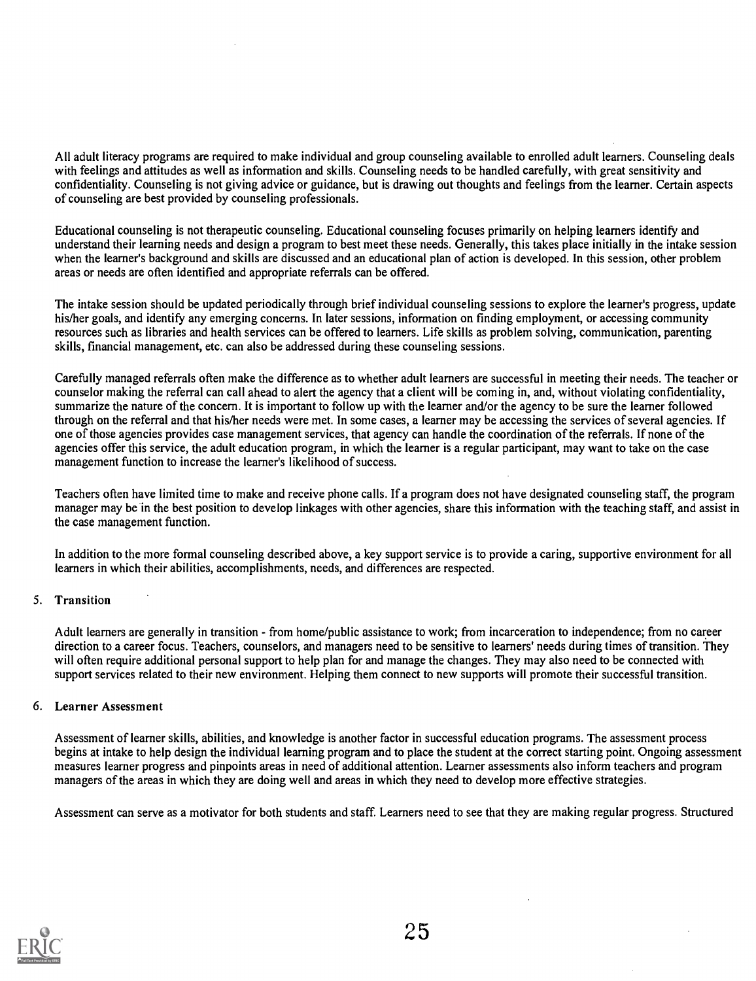areas or needs are often identified and appropriate referrals can be offered.

of counseling are best provided by counseling professionals. Educational counseling is not therapeutic counseling. Educational counseling focuses primarily on helping learners identify and understand their learning needs and design a program to best meet these needs. Generally, this takes place initially in the intake session when the learner's background and skills are discussed and an educational plan of action is developed. In this session, other problem

The intake session should be updated periodically through brief individual counseling sessions to explore the learner's progress, update his/her goals, and identify any emerging concerns. In later sessions, information on finding employment, or accessing community resources such as libraries and health services can be offered to learners. Life skills as problem solving, communication, parenting skills, financial management, etc. can also be addressed during these counseling sessions.

Carefully managed referrals often make the difference as to whether adult learners are successful in meeting their needs. The teacher or counselor making the referral can call ahead to alert the agency that a client will be coming in, and, without violating confidentiality, summarize the nature of the concern. It is important to follow up with the learner and/or the agency to be sure the learner followed through on the referral and that his/her needs were met. In some cases, a learner may be accessing the services of several agencies. If one of those agencies provides case management services, that agency can handle the coordination of the referrals. If none of the agencies offer this service, the adult education program, in which the learner is a regular participant, may want to take on the case management function to increase the learner's likelihood of success.

Teachers often have limited time to make and receive phone calls. If a program does not have designated counseling staff, the program manager may be in the best position to develop linkages with other agencies, share this information with the teaching staff, and assist in the case management function.

In addition to the more formal counseling described above, a key support service is to provide a caring, supportive environment for all learners in which their abilities, accomplishments, needs, and differences are respected.

# 5. Transition

Adult learners are generally in transition - from home/public assistance to work; from incarceration to independence; from no career direction to a career focus. Teachers, counselors, and managers need to be sensitive to learners' needs during times of transition. They will often require additional personal support to help plan for and manage the changes. They may also need to be connected with support services related to their new environment. Helping them connect to new supports will promote their successful transition.

# 6. Learner Assessment

Assessment of learner skills, abilities, and knowledge is another factor in successful education programs. The assessment process begins at intake to help design the individual learning program and to place the student at the correct starting point. Ongoing assessment measures learner progress and pinpoints areas in need of additional attention. Learner assessments also inform teachers and program managers of the areas in which they are doing well and areas in which they need to develop more effective strategies.

Assessment can serve as a motivator for both students and staff. Learners need to see that they are making regular progress. Structured

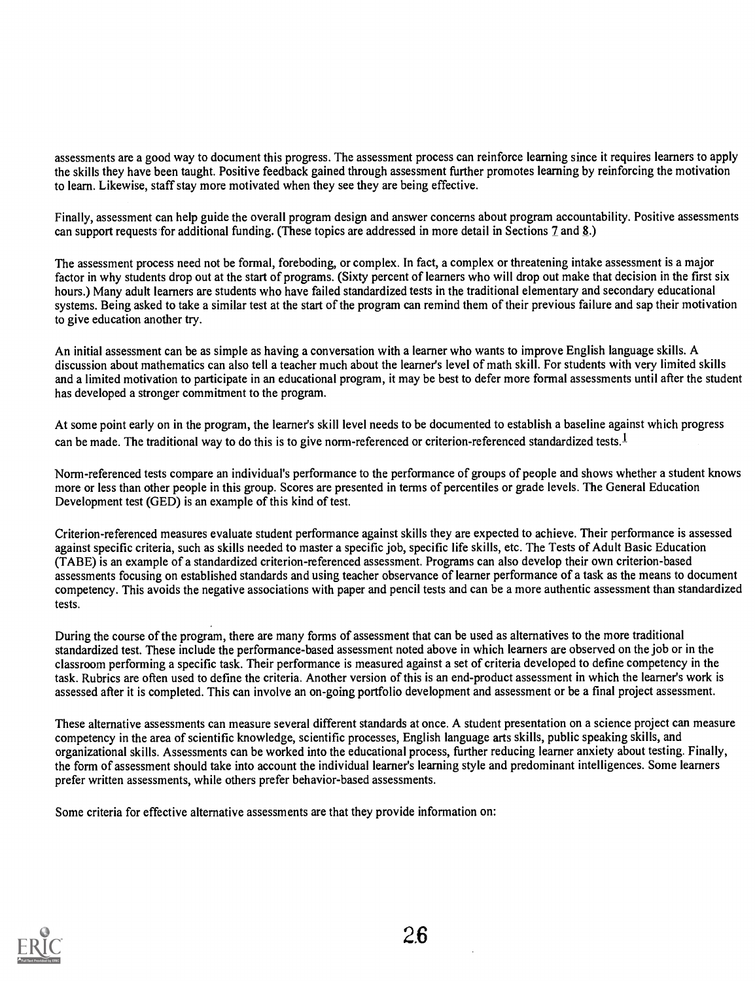assessments are a good way to document this progress. The assessment process can reinforce learning since it requires learners to apply the skills they have been taught. Positive feedback gained through assessment further promotes learning by reinforcing the motivation to learn. Likewise, staff stay more motivated when they see they are being effective.

Finally, assessment can help guide the overall program design and answer concerns about program accountability. Positive assessments can support requests for additional funding. (These topics are addressed in more detail in Sections 7 and 8.)

The assessment process need not be formal, foreboding, or complex. In fact, a complex or threatening intake assessment is a major factor in why students drop out at the start of programs. (Sixty percent of learners who will drop out make that decision in the first six hours.) Many adult learners are students who have failed standardized tests in the traditional elementary and secondary educational systems. Being asked to take a similar test at the start of the program can remind them of their previous failure and sap their motivation to give education another try.

An initial assessment can be as simple as having a conversation with a learner who wants to improve English language skills. A discussion about mathematics can also tell a teacher much about the learner's level of math skill. For students with very limited skills and a limited motivation to participate in an educational program, it may be best to defer more formal assessments until after the student has developed a stronger commitment to the program.

At some point early on in the program, the learner's skill level needs to be documented to establish a baseline against which progress can be made. The traditional way to do this is to give norm-referenced or criterion-referenced standardized tests.<sup>1</sup>

Norm-referenced tests compare an individual's performance to the performance of groups of people and shows whether a student knows more or less than other people in this group. Scores are presented in terms of percentiles or grade levels. The General Education Development test (GED) is an example of this kind of test.

Criterion-referenced measures evaluate student performance against skills they are expected to achieve. Their performance is assessed against specific criteria, such as skills needed to master a specific job, specific life skills, etc. The Tests of Adult Basic Education (TABE) is an example of a standardized criterion-referenced assessment. Programs can also develop their own criterion-based assessments focusing on established standards and using teacher observance of learner performance of a task as the means to document competency. This avoids the negative associations with paper and pencil tests and can be a more authentic assessment than standardized tests.

During the course of the program, there are many forms of assessment that can be used as alternatives to the more traditional standardized test. These include the performance-based assessment noted above in which learners are observed on the job or in the classroom performing a specific task. Their performance is measured against a set of criteria developed to define competency in the task. Rubrics are often used to define the criteria. Another version of this is an end-product assessment in which the learner's work is assessed after it is completed. This can involve an on-going portfolio development and assessment or be a final project assessment.

These alternative assessments can measure several different standards at once. A student presentation on a science project can measure competency in the area of scientific knowledge, scientific processes, English language arts skills, public speaking skills, and organizational skills. Assessments can be worked into the educational process, further reducing learner anxiety about testing. Finally, the form of assessment should take into account the individual learner's learning style and predominant intelligences. Some learners prefer written assessments, while others prefer behavior-based assessments.

Some criteria for effective alternative assessments are that they provide information on:

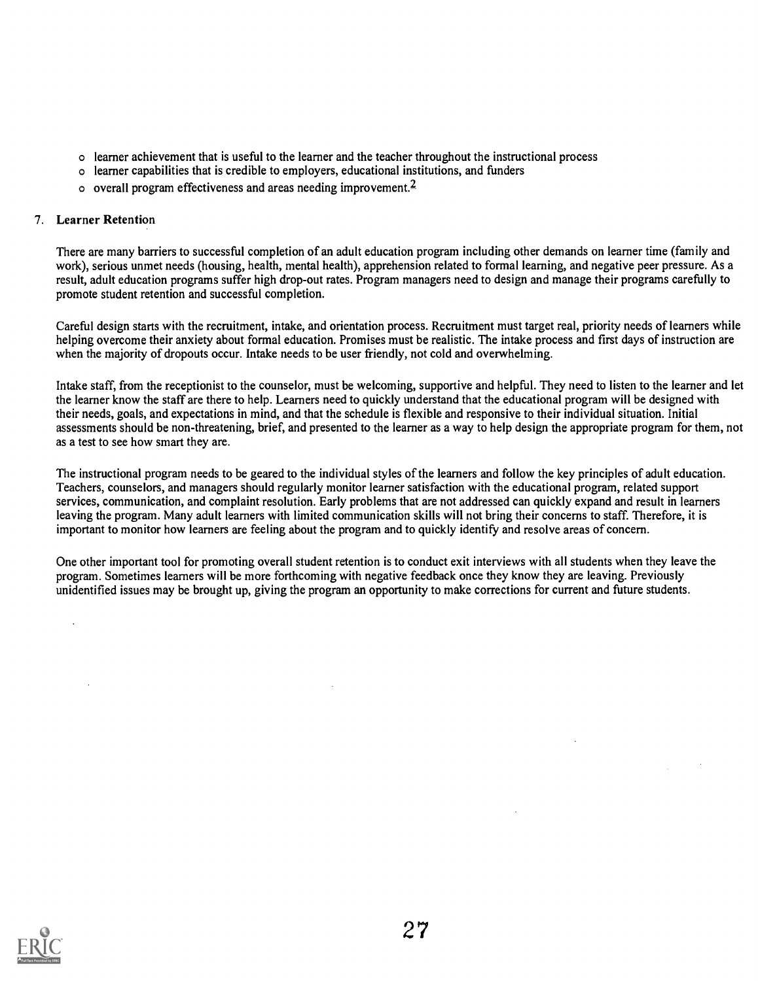- o learner achievement that is useful to the learner and the teacher throughout the instructional process
- o learner capabilities that is credible to employers, educational institutions, and funders
- o overall program effectiveness and areas needing improvement.2

# 7. Learner Retention

There are many barriers to successful completion of an adult education program including other demands on learner time (family and work), serious unmet needs (housing, health, mental health), apprehension related to formal learning, and negative peer pressure. As a result, adult education programs suffer high drop-out rates. Program managers need to design and manage their programs carefully to promote student retention and successful completion.

Careful design starts with the recruitment, intake, and orientation process. Recruitment must target real, priority needs of learners while helping overcome their anxiety about formal education. Promises must be realistic. The intake process and first days of instruction are when the majority of dropouts occur. Intake needs to be user friendly, not cold and overwhelming.

Intake staff, from the receptionist to the counselor, must be welcoming, supportive and helpful. They need to listen to the learner and let the learner know the staff are there to help. Learners need to quickly understand that the educational program will be designed with their needs, goals, and expectations in mind, and that the schedule is flexible and responsive to their individual situation. Initial assessments should be non-threatening, brief, and presented to the learner as a way to help design the appropriate program for them, not as a test to see how smart they are.

The instructional program needs to be geared to the individual styles of the learners and follow the key principles of adult education. Teachers, counselors, and managers should regularly monitor learner satisfaction with the educational program, related support services, communication, and complaint resolution. Early problems that are not addressed can quickly expand and result in learners leaving the program. Many adult learners with limited communication skills will not bring their concerns to staff. Therefore, it is important to monitor how learners are feeling about the program and to quickly identify and resolve areas of concern.

One other important tool for promoting overall student retention is to conduct exit interviews with all students when they leave the program. Sometimes learners will be more forthcoming with negative feedback once they know they are leaving. Previously unidentified issues may be brought up, giving the program an opportunity to make corrections for current and future students.

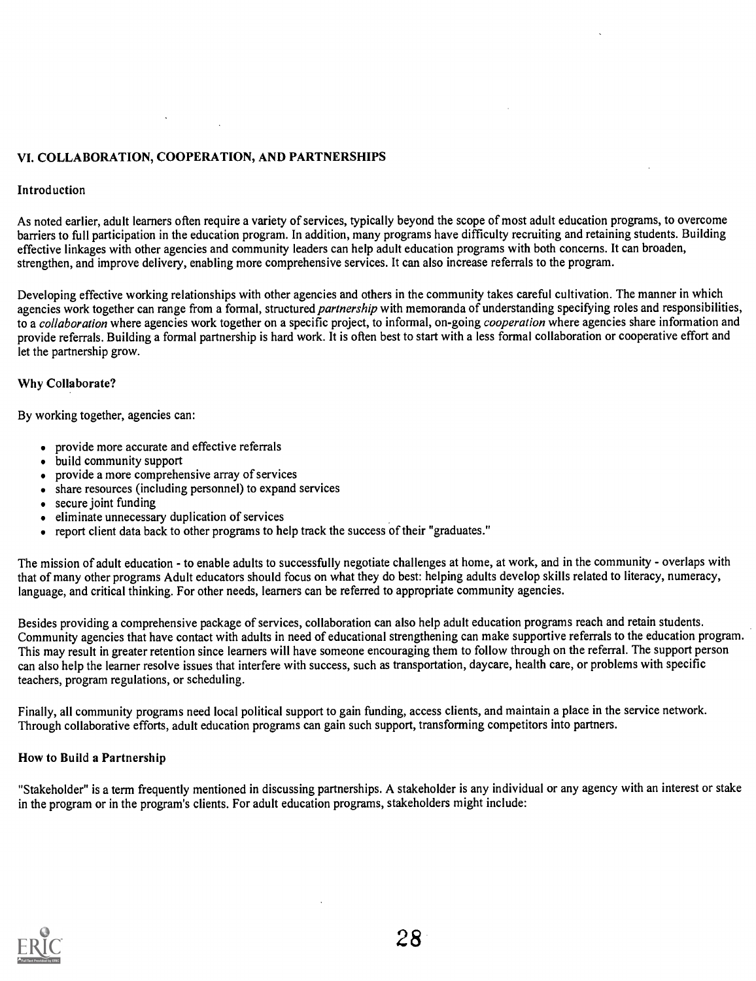# VI. COLLABORATION, COOPERATION, AND PARTNERSHIPS

#### Introduction

As noted earlier, adult learners often require a variety of services, typically beyond the scope of most adult education programs, to overcome barriers to full participation in the education program. In addition, many programs have difficulty recruiting and retaining students. Building effective linkages with other agencies and community leaders can help adult education programs with both concerns. It can broaden, strengthen, and improve delivery, enabling more comprehensive services. It can also increase referrals to the program.

Developing effective working relationships with other agencies and others in the community takes careful cultivation. The manner in which agencies work together can range from a formal, structured *partnership* with memoranda of understanding specifying roles and responsibilities, to a collaboration where agencies work together on a specific project, to informal, on-going *cooperation* where agencies share information and provide referrals. Building a formal partnership is hard work. It is often best to start with a less formal collaboration or cooperative effort and let the partnership grow.

#### Why Collaborate?

By working together, agencies can:

- provide more accurate and effective referrals
- build community support
- provide a more comprehensive array of services
- share resources (including personnel) to expand services
- secure joint funding
- eliminate unnecessary duplication of services
- report client data back to other programs to help track the success of their "graduates."

The mission of adult education - to enable adults to successfully negotiate challenges at home, at work, and in the community - overlaps with that of many other programs Adult educators should focus on what they do best: helping adults develop skills related to literacy, numeracy, language, and critical thinking. For other needs, learners can be referred to appropriate community agencies.

Besides providing a comprehensive package of services, collaboration can also help adult education programs reach and retain students. Community agencies that have contact with adults in need of educational strengthening can make supportive referrals to the education program. This may result in greater retention since learners will have someone encouraging them to follow through on the referral. The support person can also help the learner resolve issues that interfere with success, such as transportation, daycare, health care, or problems with specific teachers, program regulations, or scheduling.

Finally, all community programs need local political support to gain funding, access clients, and maintain a place in the service network. Through collaborative efforts, adult education programs can gain such support, transforming competitors into partners.

# How to Build a Partnership

"Stakeholder" is a term frequently mentioned in discussing partnerships. A stakeholder is any individual or any agency with an interest or stake in the program or in the program's clients. For adult education programs, stakeholders might include:

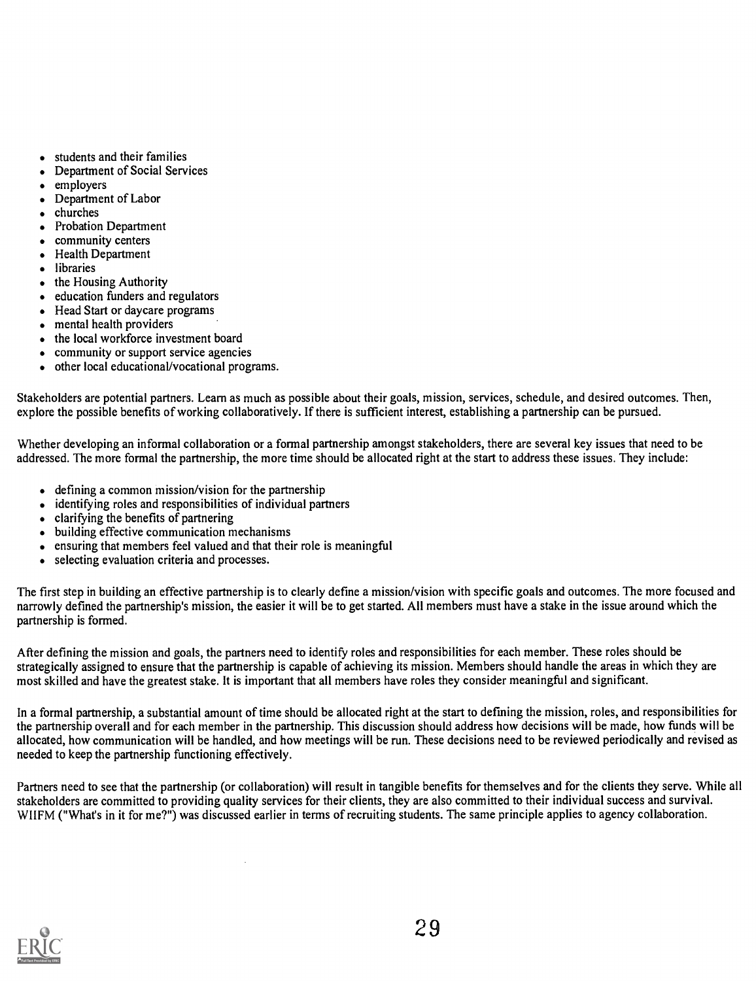- students and their families  $\bullet$
- Department of Social Services
- employers  $\bullet$
- Department of Labor
- churches
- Probation Department  $\bullet$
- community centers  $\bullet$
- Health Department  $\bullet$
- $\bullet$ libraries
- the Housing Authority  $\bullet$
- education funders and regulators  $\bullet$
- Head Start or daycare programs  $\bullet$
- mental health providers  $\bullet$
- the local workforce investment board  $\bullet$
- community or support service agencies  $\bullet$
- other local educational/vocational programs.  $\bullet$

Stakeholders are potential partners. Learn as much as possible about their goals, mission, services, schedule, and desired outcomes. Then, explore the possible benefits of working collaboratively. If there is sufficient interest, establishing a partnership can be pursued.

Whether developing an informal collaboration or a formal partnership amongst stakeholders, there are several key issues that need to be addressed. The more formal the partnership, the more time should be allocated right at the start to address these issues. They include:

- defining a common mission/vision for the partnership
- identifying roles and responsibilities of individual partners
- clarifying the benefits of partnering
- $\bullet$  building effective communication mechanisms
- ensuring that members feel valued and that their role is meaningful  $\bullet$
- selecting evaluation criteria and processes.  $\bullet$

The first step in building an effective partnership is to clearly define a mission/vision with specific goals and outcomes. The more focused and narrowly defined the partnership's mission, the easier it will be to get started. All members must have a stake in the issue around which the partnership is formed.

After defining the mission and goals, the partners need to identify roles and responsibilities for each member. These roles should be strategically assigned to ensure that the partnership is capable of achieving its mission. Members should handle the areas in which they are most skilled and have the greatest stake. It is important that all members have roles they consider meaningful and significant.

In a formal partnership, a substantial amount of time should be allocated right at the start to defining the mission, roles, and responsibilities for the partnership overall and for each member in the partnership. This discussion should address how decisions will be made, how funds will be allocated, how communication will be handled, and how meetings will be run. These decisions need to be reviewed periodically and revised as needed to keep the partnership functioning effectively.

Partners need to see that the partnership (or collaboration) will result in tangible benefits for themselves and for the clients they serve. While all stakeholders are committed to providing quality services for their clients, they are also committed to their individual success and survival. WIIFM ("What's in it for me?") was discussed earlier in terms of recruiting students. The same principle applies to agency collaboration.

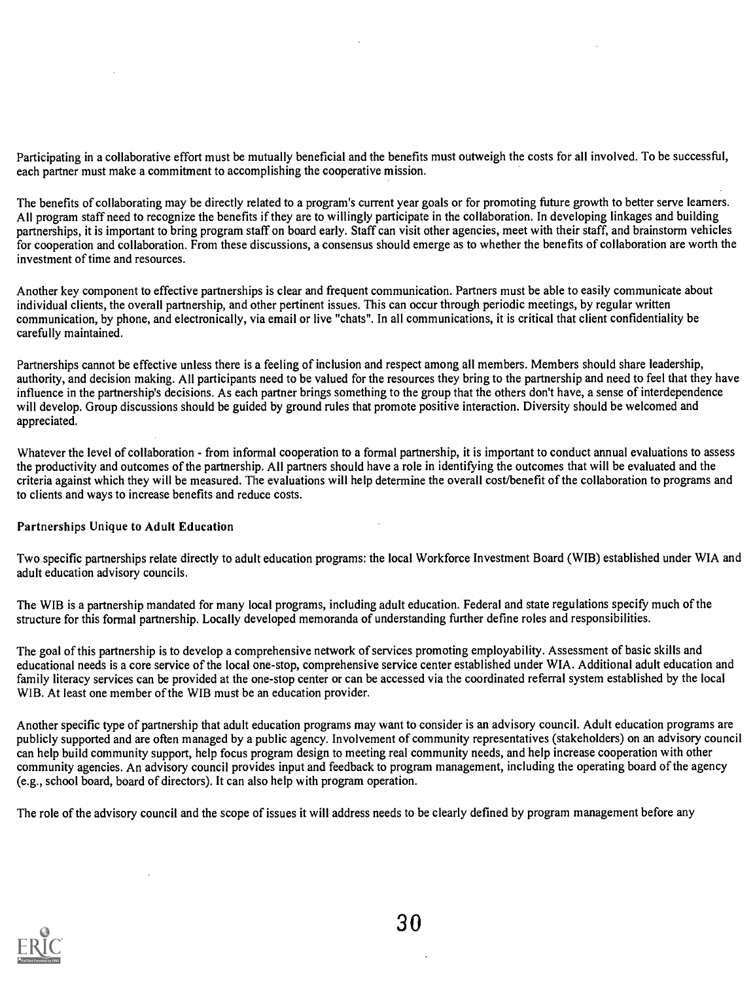Participating in a collaborative effort must be mutually beneficial and the benefits must outweigh the costs for all involved. To be successful, each partner must make a commitment to accomplishing the cooperative mission.

The benefits of collaborating may be directly related to a program's current year goals or for promoting future growth to better serve learners. All program staff need to recognize the benefits if they are to willingly participate in the collaboration. In developing linkages and building partnerships, it is important to bring program staff on board early. Staff can visit other agencies, meet with their staff, and brainstorm vehicles for cooperation and collaboration. From these discussions, a consensus should emerge as to whether the benefits of collaboration are worth the investment of time and resources.

Another key component to effective partnerships is clear and frequent communication. Partners must be able to easily communicate about individual clients, the overall partnership, and other pertinent issues. This can occur through periodic meetings, by regular written communication, by phone, and electronically, via email or live "chats". In all communications, it is critical that client confidentiality be carefully maintained.

Partnerships cannot be effective unless there is a feeling of inclusion and respect among all members. Members should share leadership, authority, and decision making. All participants need to be valued for the resources they bring to the partnership and need to feel that they have influence in the partnership's decisions. As each partner brings something to the group that the others don't have, a sense of interdependence will develop. Group discussions should be guided by ground rules that promote positive interaction. Diversity should be welcomed and appreciated.

Whatever the level of collaboration - from informal cooperation to a formal partnership, it is important to conduct annual evaluations to assess the productivity and outcomes of the partnership. All partners should have a role in identifying the outcomes that will be evaluated and the criteria against which they will be measured. The evaluations will help determine the overall cost/benefit of the collaboration to programs and to clients and ways to increase benefits and reduce costs.

# Partnerships Unique to Adult Education

Two specific partnerships relate directly to adult education programs: the local Workforce Investment Board (WIB) established under WIA and adult education advisory councils.

The WIB is a partnership mandated for many local programs, including adult education. Federal and state regulations specify much of the structure for this formal partnership. Locally developed memoranda of understanding further define roles and responsibilities.

The goal of this partnership is to develop a comprehensive network of services promoting employability. Assessment of basic skills and educational needs is a core service of the local one-stop, comprehensive service center established under WIA. Additional adult education and family literacy services can be provided at the one-stop center or can be accessed via the coordinated referral system established by the local WIB. At least one member of the WIB must be an education provider.

Another specific type of partnership that adult education programs may want to consider is an advisory council. Adult education programs are publicly supported and are often managed by a public agency. Involvement of community representatives (stakeholders) on an advisory council can help build community support, help focus program design to meeting real community needs, and help increase cooperation with other community agencies. An advisory council provides input and feedback to program management, including the operating board of the agency (e.g., school board, board of directors). It can also help with program operation.

The role of the advisory council and the scope of issues it will address needs to be clearly defined by program management before any

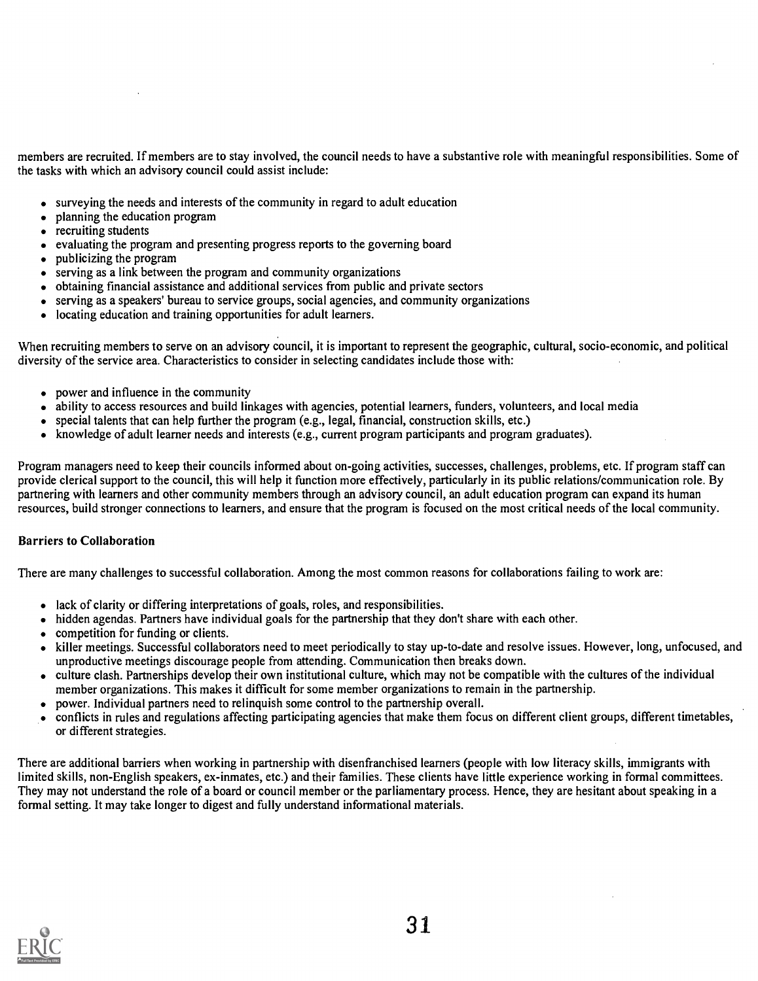members are recruited. If members are to stay involved, the council needs to have a substantive role with meaningful responsibilities. Some of the tasks with which an advisory council could assist include:

- surveying the needs and interests of the community in regard to adult education
- planning the education program
- recruiting students
- $\bullet$  evaluating the program and presenting progress reports to the governing board
- publicizing the program
- $\bullet$  serving as a link between the program and community organizations
- obtaining financial assistance and additional services from public and private sectors
- serving as a speakers' bureau to service groups, social agencies, and community organizations
- locating education and training opportunities for adult learners.  $\bullet$

When recruiting members to serve on an advisory council, it is important to represent the geographic, cultural, socio-economic, and political diversity of the service area. Characteristics to consider in selecting candidates include those with:

- power and influence in the community
- ability to access resources and build linkages with agencies, potential learners, funders, volunteers, and local media
- special talents that can help further the program (e.g., legal, financial, construction skills, etc.)
- knowledge of adult learner needs and interests (e.g., current program participants and program graduates).

Program managers need to keep their councils informed about on-going activities, successes, challenges, problems, etc. If program staff can provide clerical support to the council, this will help it function more effectively, particularly in its public relations/communication role. By partnering with learners and other community members through an advisory council, an adult education program can expand its human resources, build stronger connections to learners, and ensure that the program is focused on the most critical needs of the local community.

# Barriers to Collaboration

There are many challenges to successful collaboration. Among the most common reasons for collaborations failing to work are:

- lack of clarity or differing interpretations of goals, roles, and responsibilities.
- hidden agendas. Partners have individual goals for the partnership that they don't share with each other.
- competition for funding or clients.
- killer meetings. Successful collaborators need to meet periodically to stay up-to-date and resolve issues. However, long, unfocused, and unproductive meetings discourage people from attending. Communication then breaks down.
- culture clash. Partnerships develop their own institutional culture, which may not be compatible with the cultures of the individual member organizations. This makes it difficult for some member organizations to remain in the partnership.
- power. Individual partners need to relinquish some control to the partnership overall.
- conflicts in rules and regulations affecting participating agencies that make them focus on different client groups, different timetables, or different strategies.

There are additional barriers when working in partnership with disenfranchised learners (people with low literacy skills, immigrants with limited skills, non-English speakers, ex-inmates, etc.) and their families. These clients have little experience working in formal committees. They may not understand the role of a board or council member or the parliamentary process. Hence, they are hesitant about speaking in a formal setting. It may take longer to digest and fully understand informational materials.

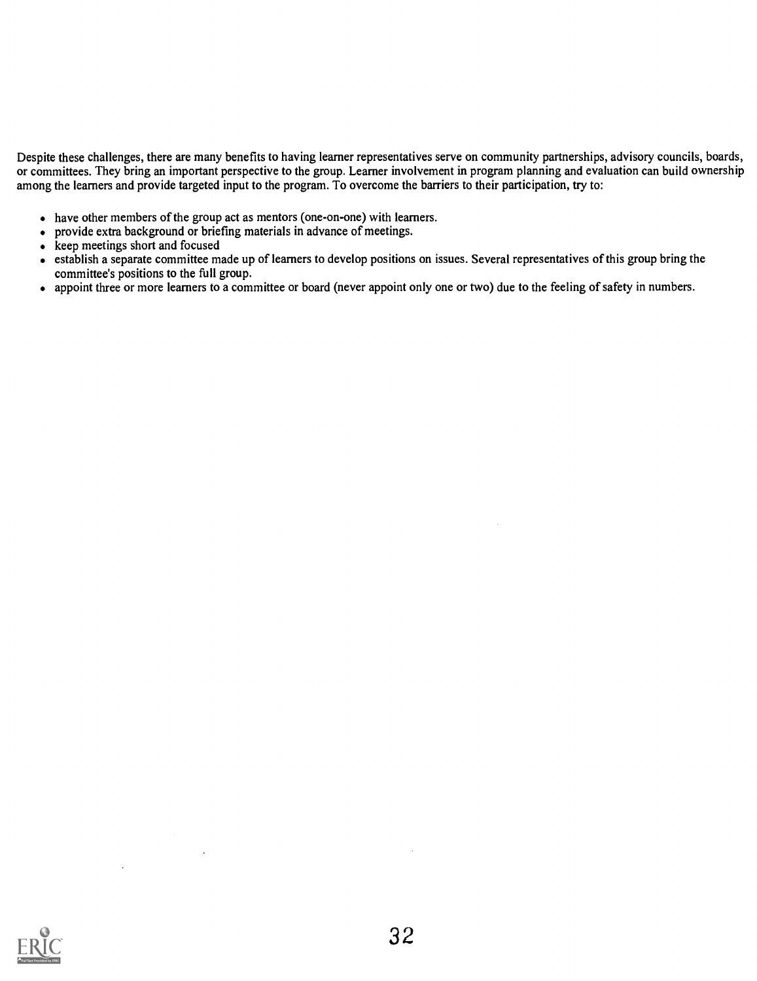Despite these challenges, there are many benefits to having learner representatives serve on community partnerships, advisory councils, boards, or committees. They bring an important perspective to the group. Learner involvement in program planning and evaluation can build ownership among the learners and provide targeted input to the program. To overcome the barriers to their participation, try to:

- have other members of the group act as mentors (one-on-one) with learners.
- provide extra background or briefing materials in advance of meetings.

 $\sim$  4

- $\overrightarrow{ }$  keep meetings short and focused
- establish a separate committee made up of learners to develop positions on issues. Several representatives of this group bring the committee's positions to the full group.
- appoint three or more learners to a committee or board (never appoint only one or two) due to the feeling of safety in numbers.

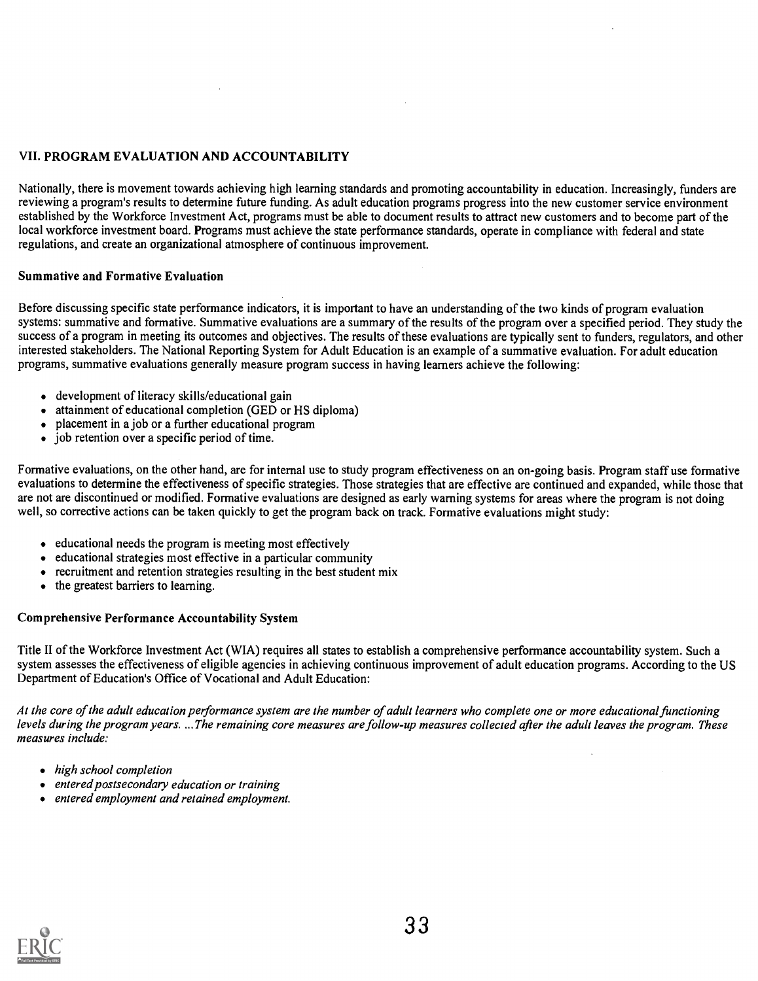# VII. PROGRAM EVALUATION AND ACCOUNTABILITY

Nationally, there is movement towards achieving high learning standards and promoting accountability in education. Increasingly, funders are reviewing a program's results to determine future funding. As adult education programs progress into the new customer service environment established by the Workforce Investment Act, programs must be able to document results to attract new customers and to become part of the local workforce investment board. Programs must achieve the state performance standards, operate in compliance with federal and state regulations, and create an organizational atmosphere of continuous improvement.

# Summative and Formative Evaluation

Before discussing specific state performance indicators, it is important to have an understanding of the two kinds of program evaluation systems: summative and formative. Summative evaluations are a summary of the results of the program over a specified period. They study the success of a program in meeting its outcomes and objectives. The results of these evaluations are typically sent to funders, regulators, and other interested stakeholders. The National Reporting System for Adult Education is an example of a summative evaluation. For adult education programs, summative evaluations generally measure program success in having learners achieve the following:

- development of literacy skills/educational gain
- attainment of educational completion (GED or HS diploma)
- placement in a job or a further educational program
- job retention over a specific period of time.

Formative evaluations, on the other hand, are for internal use to study program effectiveness on an on-going basis. Program staff use formative evaluations to determine the effectiveness of specific strategies. Those strategies that are effective are continued and expanded, while those that are not are discontinued or modified. Formative evaluations are designed as early warning systems for areas where the program is not doing well, so corrective actions can be taken quickly to get the program back on track. Formative evaluations might study:

- educational needs the program is meeting most effectively
- educational strategies most effective in a particular community
- recruitment and retention strategies resulting in the best student mix
- the greatest barriers to learning.

# Comprehensive Performance Accountability System

Title II of the Workforce Investment Act (WIA) requires all states to establish a comprehensive performance accountability system. Such a system assesses the effectiveness of eligible agencies in achieving continuous improvement of adult education programs. According to the US Department of Education's Office of Vocational and Adult Education:

At the core of the adult education performance system are the number of adult learners who complete one or more educational functioning levels during the program years. ...The remaining core measures are follow-up measures collected after the adult leaves the program. These measures include:

- high school completion
- entered postsecondary education or training
- entered employment and retained employment.

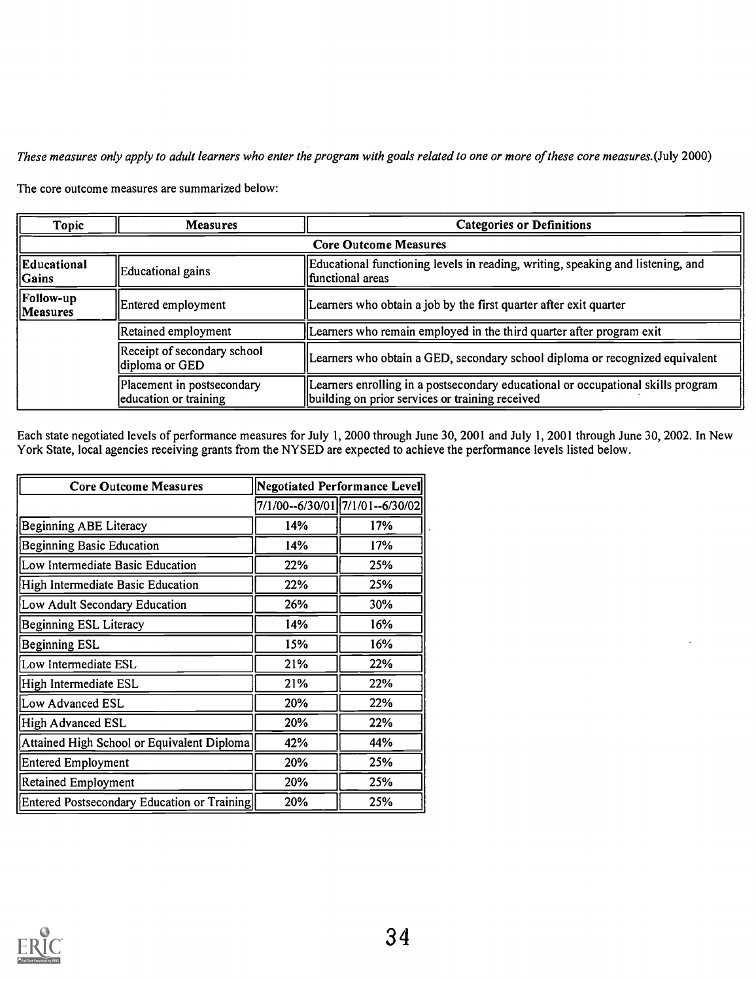These measures only apply to adult learners who enter the program with goals related to one or more of these core measures.(July 2000)

The core outcome measures are summarized below:

| <b>Topic</b>                 | <b>Measures</b>                                     | <b>Categories or Definitions</b>                                                                                                    |
|------------------------------|-----------------------------------------------------|-------------------------------------------------------------------------------------------------------------------------------------|
|                              |                                                     | <b>Core Outcome Measures</b>                                                                                                        |
| Educational<br>$\ $ Gains    | Educational gains                                   | Educational functioning levels in reading, writing, speaking and listening, and<br>lfunctional areas                                |
| <b>Follow-up</b><br>Measures | Entered employment                                  | Learners who obtain a job by the first quarter after exit quarter                                                                   |
|                              | Retained employment                                 | Learners who remain employed in the third quarter after program exit                                                                |
|                              | Receipt of secondary school<br>diploma or GED       | Learners who obtain a GED, secondary school diploma or recognized equivalent                                                        |
|                              | Placement in postsecondary<br>education or training | Learners enrolling in a postsecondary educational or occupational skills program<br>building on prior services or training received |

Each state negotiated levels of performance measures for July 1, 2000 through June 30, 2001 and July 1, 2001 through June 30, 2002. In New York State, local agencies receiving grants from the NYSED are expected to achieve the performance levels listed below.

| <b>Core Outcome Measures</b>                |     | <b>Negotiated Performance Level</b> |
|---------------------------------------------|-----|-------------------------------------|
|                                             |     | 7/1/00--6/30/01 7/1/01--6/30/02     |
| <b>Beginning ABE Literacy</b>               | 14% | 17%                                 |
| <b>Beginning Basic Education</b>            | 14% | 17%                                 |
| Low Intermediate Basic Education            | 22% | 25%                                 |
| High Intermediate Basic Education           | 22% | 25%                                 |
| Low Adult Secondary Education               | 26% | 30%                                 |
| <b>Beginning ESL Literacy</b>               | 14% | 16%                                 |
| <b>Beginning ESL</b>                        | 15% | 16%                                 |
| Low Intermediate ESL                        | 21% | 22%                                 |
| High Intermediate ESL                       | 21% | 22%                                 |
| Low Advanced ESL                            | 20% | 22%                                 |
| High Advanced ESL                           | 20% | 22%                                 |
| Attained High School or Equivalent Diploma  | 42% | 44%                                 |
| <b>Entered Employment</b>                   | 20% | 25%                                 |
| <b>Retained Employment</b>                  | 20% | 25%                                 |
| Entered Postsecondary Education or Training | 20% | 25%                                 |

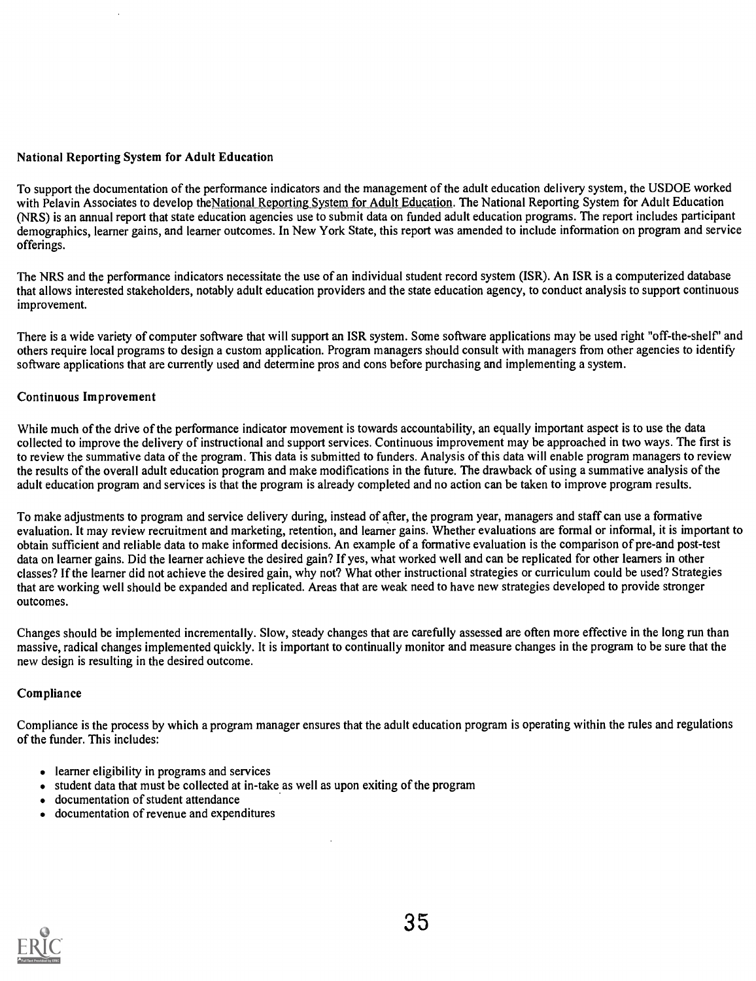# National Reporting System for Adult Education

To support the documentation of the performance indicators and the management of the adult education delivery system, the USDOE worked with Pelavin Associates to develop theNational Reporting.System for Adult Education. The National Reporting System for Adult Education (NRS) is an annual report that state education agencies use to submit data on funded adult education programs. The report includes participant demographics, learner gains, and learner outcomes. In New York State, this report was amended to include information on program and service offerings.

The NRS and the performance indicators necessitate the use of an individual student record system (ISR). An ISR is a computerized database that allows interested stakeholders, notably adult education providers and the state education agency, to conduct analysis to support continuous improvement.

There is a wide variety of computer software that will support an ISR system. Some software applications may be used right "off-the-shelf" and others require local programs to design a custom application. Program managers should consult with managers from other agencies to identify software applications that are currently used and determine pros and cons before purchasing and implementing a system.

# Continuous Improvement

While much of the drive of the performance indicator movement is towards accountability, an equally important aspect is to use the data collected to improve the delivery of instructional and support services. Continuous improvement may be approached in two ways. The first is to review the summative data of the program. This data is submitted to funders. Analysis of this data will enable program managers to review the results of the overall adult education program and make modifications in the future. The drawback of using a summative analysis of the adult education program and services is that the program is already completed and no action can be taken to improve program results.

To make adjustments to program and service delivery during, instead of after, the program year, managers and staff can use a formative evaluation. It may review recruitment and marketing, retention, and learner gains. Whether evaluations are formal or informal, it is important to obtain sufficient and reliable data to make informed decisions. An example of a formative evaluation is the comparison of pre-and post-test data on learner gains. Did the learner achieve the desired gain? If yes, what worked well and can be replicated for other learners in other classes? If the learner did not achieve the desired gain, why not? What other instructional strategies or curriculum could be used? Strategies that are working well should be expanded and replicated. Areas that are weak need to have new strategies developed to provide stronger outcomes.

Changes should be implemented incrementally. Slow, steady changes that are carefully assessed are often more effective in the long run than massive, radical changes implemented quickly. It is important to continually monitor and measure changes in the program to be sure that the new design is resulting in the desired outcome.

# Compliance

Compliance is the process by which a program manager ensures that the adult education program is operating within the rules and regulations of the funder. This includes:

- learner eligibility in programs and services
- student data that must be collected at in-take as well as upon exiting of the program
- documentation of student attendance  $\bullet$
- documentation of revenue and expenditures

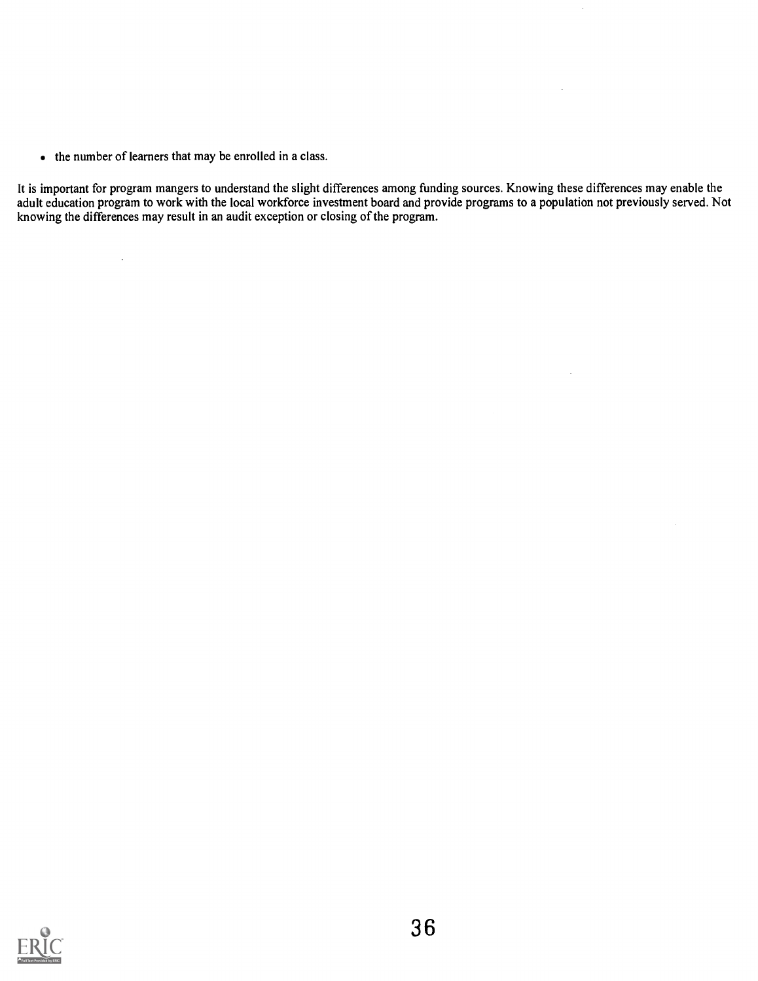• the number of learners that may be enrolled in a class.

 $\bar{z}$ 

It is important for program mangers to understand the slight differences among funding sources. Knowing these differences may enable the adult education program to work with the local workforce investment board and provide programs to a population not previously served. Not knowing the differences may result in an audit exception or closing of the program.

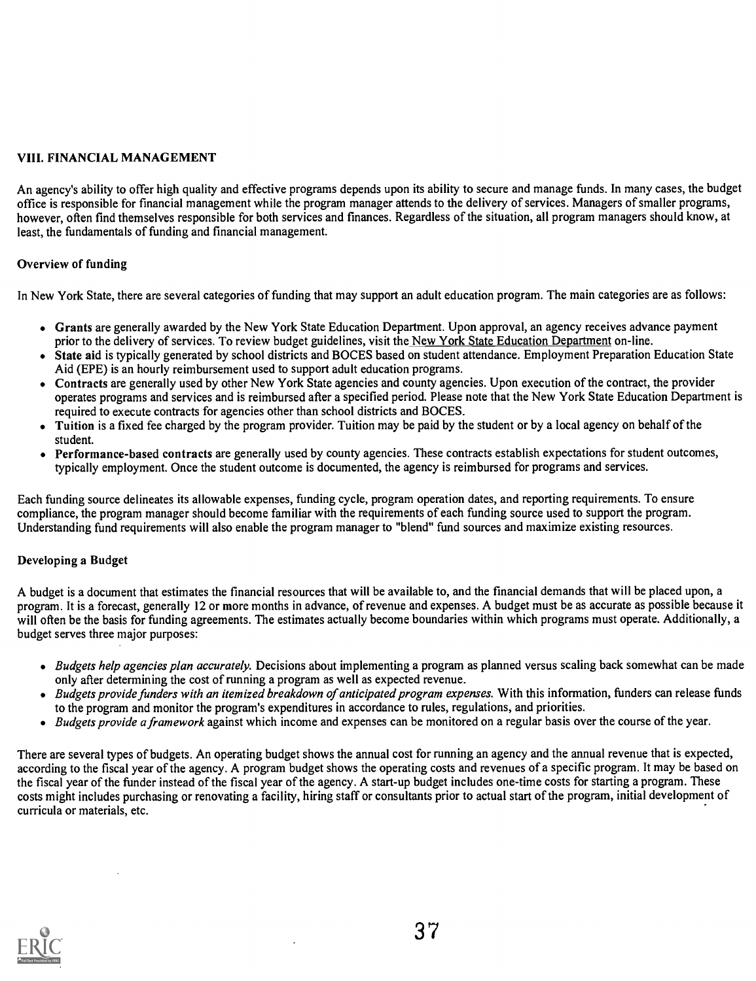# VIII. FINANCIAL MANAGEMENT

An agency's ability to offer high quality and effective programs depends upon its ability to secure and manage funds. In many cases, the budget office is responsible for financial management while the program manager attends to the delivery of services. Managers of smaller programs, however, often find themselves responsible for both services and finances. Regardless of the situation, all program managers should know, at least, the fundamentals of funding and financial management.

# Overview of funding

In New York State, there are several categories of funding that may support an adult education program. The main categories are as follows:

- Grants are generally awarded by the New York State Education Department. Upon approval, an agency receives advance payment prior to the delivery of services. To review budget guidelines, visit the New York State Education Department on-line.
- State aid is typically generated by school districts and BOCES based on student attendance. Employment Preparation Education State Aid (EPE) is an hourly reimbursement used to support adult education programs.
- Contracts are generally used by other New York State agencies and county agencies. Upon execution of the contract, the provider operates programs and services and is reimbursed after a specified period. Please note that the New York State Education Department is required to execute contracts for agencies other than school districts and BOCES.
- Tuition is a fixed fee charged by the program provider. Tuition may be paid by the student or by a local agency on behalf of the student.
- Performance-based contracts are generally used by county agencies. These contracts establish expectations for student outcomes, typically employment. Once the student outcome is documented, the agency is reimbursed for programs and services.

Each funding source delineates its allowable expenses, funding cycle, program operation dates, and reporting requirements. To ensure compliance, the program manager should become familiar with the requirements of each funding source used to support the program. Understanding fund requirements will also enable the program manager to "blend" fund sources and maximize existing resources.

# Developing a Budget

A budget is a document that estimates the financial resources that will be available to, and the financial demands that will be placed upon, a program. It is a forecast, generally 12 or more months in advance, of revenue and expenses. A budget must be as accurate as possible because it will often be the basis for funding agreements. The estimates actually become boundaries within which programs must operate. Additionally, a budget serves three major purposes:

- · Budgets help agencies plan accurately. Decisions about implementing a program as planned versus scaling back somewhat can be made only after determining the cost of running a program as well as expected revenue.
- Budgets provide funders with an itemized breakdown of anticipated program expenses. With this information, funders can release funds to the program and monitor the program's expenditures in accordance to rules, regulations, and priorities.
- Budgets provide a framework against which income and expenses can be monitored on a regular basis over the course of the year.

There are several types of budgets. An operating budget shows the annual cost for running an agency and the annual revenue that is expected, according to the fiscal year of the agency. A program budget shows the operating costs and revenues of a specific program. It may be based on the fiscal year of the funder instead of the fiscal year of the agency. A start-up budget includes one-time costs for starting a program. These costs might includes purchasing or renovating a facility, hiring staff or consultants prior to actual start of the program, initial development of curricula or materials, etc.

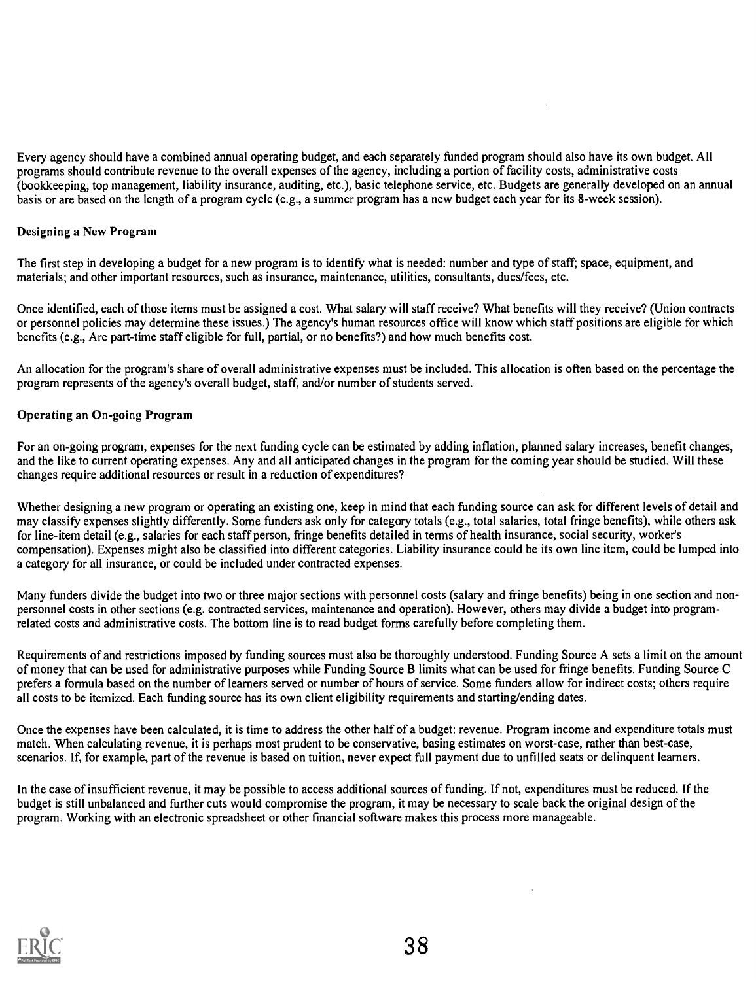Every agency should have a combined annual operating budget, and each separately funded program should also have its own budget. All programs should contribute revenue to the overall expenses of the agency, including a portion of facility costs, administrative costs (bookkeeping, top management, liability insurance, auditing, etc.), basic telephone service, etc. Budgets are generally developed on an annual basis or are based on the length of a program cycle (e.g., a summer program has a new budget each year for its 8-week session).

# Designing a New Program

The first step in developing a budget for a new program is to identify what is needed: number and type of staff; space, equipment, and materials; and other important resources, such as insurance, maintenance, utilities, consultants, dues/fees, etc.

Once identified, each of those items must be assigned a cost. What salary will staff receive? What benefits will they receive? (Union contracts or personnel policies may determine these issues.) The agency's human resources office will know which staff positions are eligible for which benefits (e.g., Are part-time staff eligible for full, partial, or no benefits?) and how much benefits cost.

An allocation for the program's share of overall administrative expenses must be included. This allocation is often based on the percentage the program represents of the agency's overall budget, staff, and/or number of students served.

# Operating an On-going Program

For an on-going program, expenses for the next funding cycle can be estimated by adding inflation, planned salary increases, benefit changes, and the like to current operating expenses. Any and all anticipated changes in the program for the coming year should be studied. Will these changes require additional resources or result in a reduction of expenditures?

Whether designing a new program or operating an existing one, keep in mind that each funding source can ask for different levels of detail and may classify expenses slightly differently. Some funders ask only for category totals (e.g., total salaries, total fringe benefits), while others ask for line-item detail (e.g., salaries for each staff person, fringe benefits detailed in terms of health insurance, social security, worker's compensation). Expenses might also be classified into different categories. Liability insurance could be its own line item, could be lumped into a category for all insurance, or could be included under contracted expenses.

Many funders divide the budget into two or three major sections with personnel costs (salary and fringe benefits) being in one section and nonpersonnel costs in other sections (e.g. contracted services, maintenance and operation). However, others may divide a budget into programrelated costs and administrative costs. The bottom line is to read budget forms carefully before completing them.

Requirements of and restrictions imposed by funding sources must also be thoroughly understood. Funding Source A sets a limit on the amount of money that can be used for administrative purposes while Funding Source B limits what can be used for fringe benefits. Funding Source C prefers a formula based on the number of learners served or number of hours of service. Some funders allow for indirect costs; others require all costs to be itemized. Each funding source has its own client eligibility requirements and starting/ending dates.

Once the expenses have been calculated, it is time to address the other half of a budget: revenue. Program income and expenditure totals must match. When calculating revenue, it is perhaps most prudent to be conservative, basing estimates on worst-case, rather than best-case, scenarios. If, for example, part of the revenue is based on tuition, never expect full payment due to unfilled seats or delinquent learners.

In the case of insufficient revenue, it may be possible to access additional sources of funding. If not, expenditures must be reduced. If the budget is still unbalanced and further cuts would compromise the program, it may be necessary to scale back the original design of the program. Working with an electronic spreadsheet or other financial software makes this process more manageable.

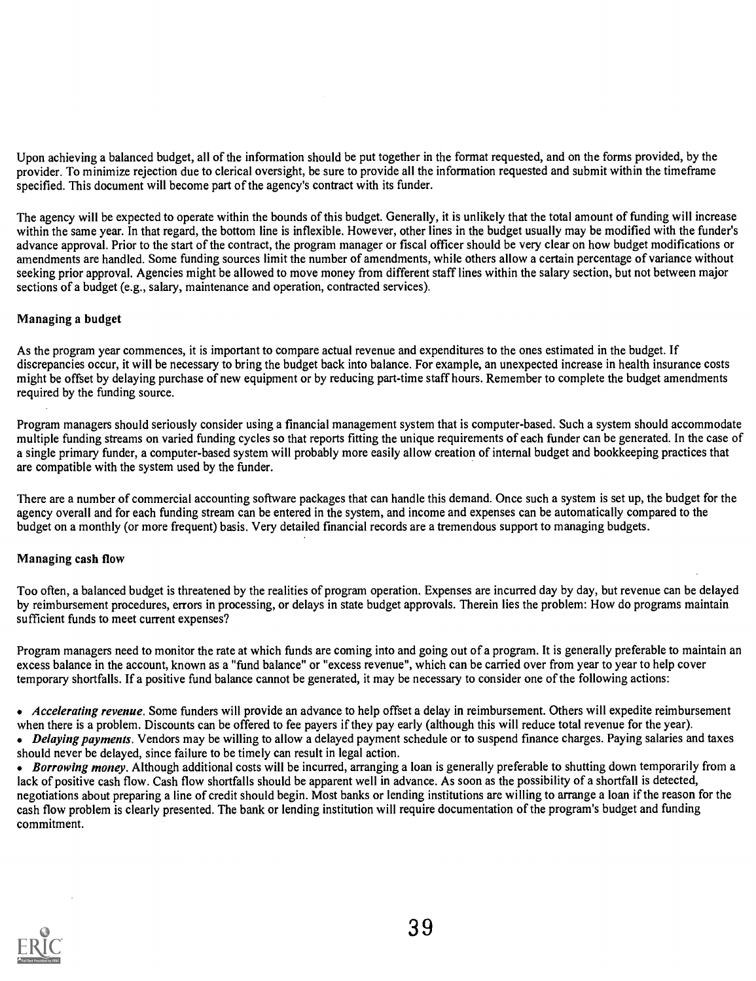Upon achieving a balanced budget, all of the information should be put together in the format requested, and on the forms provided, by the provider. To minimize rejection due to clerical oversight, be sure to provide all the information requested and submit within the timeframe specified. This document will become part of the agency's contract with its funder.

The agency will be expected to operate within the bounds of this budget. Generally, it is unlikely that the total amount of funding will increase within the same year. In that regard, the bottom line is inflexible. However, other lines in the budget usually may be modified with the funder's advance approval. Prior to the start of the contract, the program manager or fiscal officer should be very clear on how budget modifications or amendments are handled. Some funding sources limit the number of amendments, while others allow a certain percentage of variance without seeking prior approval. Agencies might be allowed to move money from different staff lines within the salary section, but not between major sections of a budget (e.g., salary, maintenance and operation, contracted services).

# Managing a budget

As the program year commences, it is important to compare actual revenue and expenditures to the ones estimated in the budget. If discrepancies occur, it will be necessary to bring the budget back into balance. For example, an unexpected increase in health insurance costs might be offset by delaying purchase of new equipment or by reducing part-time staff hours. Remember to complete the budget amendments required by the funding source.

Program managers should seriously consider using a financial management system that is computer-based. Such a system should accommodate multiple funding streams on varied funding cycles so that reports fitting the unique requirements of each funder can be generated. In the case of a single primary funder, a computer-based system will probably more easily allow creation of internal budget and bookkeeping practices that are compatible with the system used by the funder.

There are a number of commercial accounting software packages that can handle this demand. Once such a system is set up, the budget for the agency overall and for each funding stream can be entered in the system, and income and expenses can be automatically compared to the budget on a monthly (or more frequent) basis. Very detailed financial records are a tremendous support to managing budgets.

# Managing cash flow

Too often, a balanced budget is threatened by the realities of program operation. Expenses are incurred day by day, but revenue can be delayed by reimbursement procedures, errors in processing, or delays in state budget approvals. Therein lies the problem: How do programs maintain sufficient funds to meet current expenses?

Program managers need to monitor the rate at which funds are coming into and going out of a program. It is generally preferable to maintain an excess balance in the account, known as a "fund balance" or "excess revenue", which can be carried over from year to year to help cover temporary shortfalls. If a positive fund balance cannot be generated, it may be necessary to consider one of the following actions:

• Accelerating revenue. Some funders will provide an advance to help offset a delay in reimbursement. Others will expedite reimbursement when there is a problem. Discounts can be offered to fee payers if they pay early (although this will reduce total revenue for the year). • Delaying payments. Vendors may be willing to allow a delayed payment schedule or to suspend finance charges. Paying salaries and taxes should never be delayed, since failure to be timely can result in legal action.

• Borrowing money. Although additional costs will be incurred, arranging a loan is generally preferable to shutting down temporarily from a lack of positive cash flow. Cash flow shortfalls should be apparent well in advance. As soon as the possibility of a shortfall is detected, negotiations about preparing a line of credit should begin. Most banks or lending institutions are willing to arrange a loan if the reason for the cash flow problem is clearly presented. The bank or lending institution will require documentation of the program's budget and funding commitment.

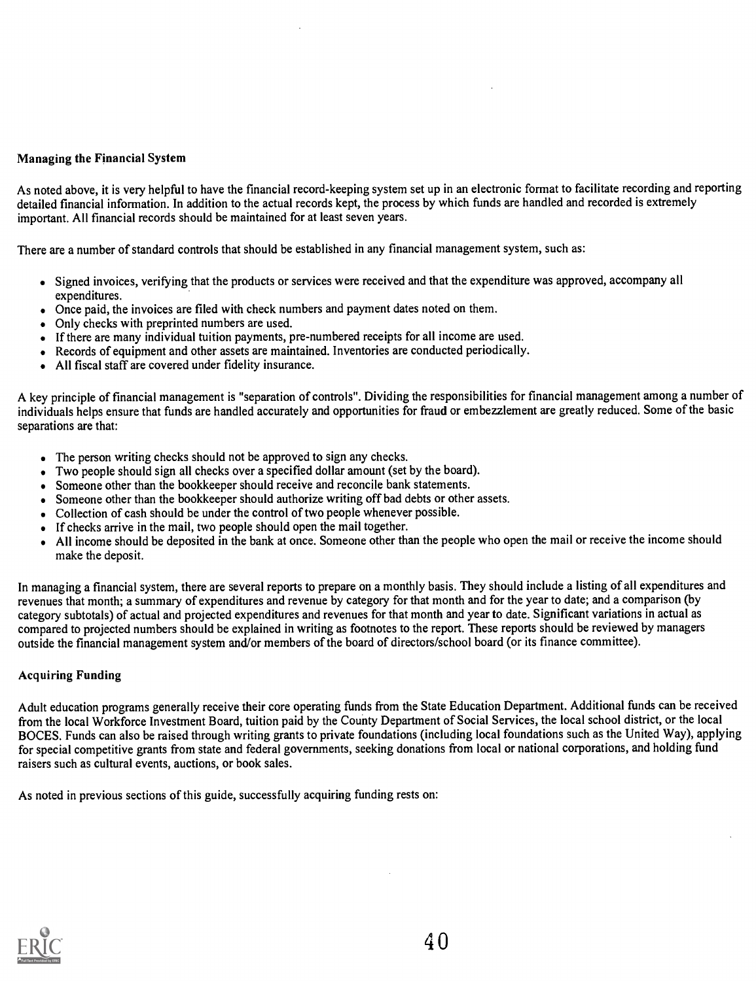# Managing the Financial System

As noted above, it is very helpful to have the financial record-keeping system set up in an electronic format to facilitate recording and reporting detailed financial information. In addition to the actual records kept, the process by which funds are handled and recorded is extremely important. All financial records should be maintained for at least seven years.

There are a number of standard controls that should be established in any financial management system, such as:

- Signed invoices, verifying that the products or services were received and that the expenditure was approved, accompany all expenditures.
- Once paid, the invoices are filed with check numbers and payment dates noted on them.
- Only checks with preprinted numbers are used.
- If there are many individual tuition payments, pre-numbered receipts for all income are used.
- Records of equipment and other assets are maintained. Inventories are conducted periodically.
- All fiscal staff are covered under fidelity insurance.

A key principle of financial management is "separation of controls". Dividing the responsibilities for financial management among a number of individuals helps ensure that funds are handled accurately and opportunities for fraud or embezzlement are greatly reduced. Some of the basic separations are that:

- The person writing checks should not be approved to sign any checks.
- Two people should sign all checks over a specified dollar amount (set by the board).
- Someone other than the bookkeeper should receive and reconcile bank statements.
- Someone other than the bookkeeper should authorize writing off bad debts or other assets.
- Collection of cash should be under the control of two people whenever possible.
- If checks arrive in the mail, two people should open the mail together.
- All income should be deposited in the bank at once. Someone other than the people who open the mail or receive the income should make the deposit.

In managing a financial system, there are several reports to prepare on a monthly basis. They should include a listing of all expenditures and revenues that month; a summary of expenditures and revenue by category for that month and for the year to date; and a comparison (by category subtotals) of actual and projected expenditures and revenues for that month and year to date. Significant variations in actual as compared to projected numbers should be explained in writing as footnotes to the report. These reports should be reviewed by managers outside the financial management system and/or members of the board of directors/school board (or its finance committee).

# Acquiring Funding

Adult education programs generally receive their core operating funds from the State Education Department. Additional funds can be received from the local Workforce Investment Board, tuition paid by the County Department of Social Services, the local school district, or the local BOCES. Funds can also be raised through writing grants to private foundations (including local foundations such as the United Way), applying for special competitive grants from state and federal governments, seeking donations from local or national corporations, and holding fund raisers such as cultural events, auctions, or book sales.

As noted in previous sections of this guide, successfully acquiring funding rests on:

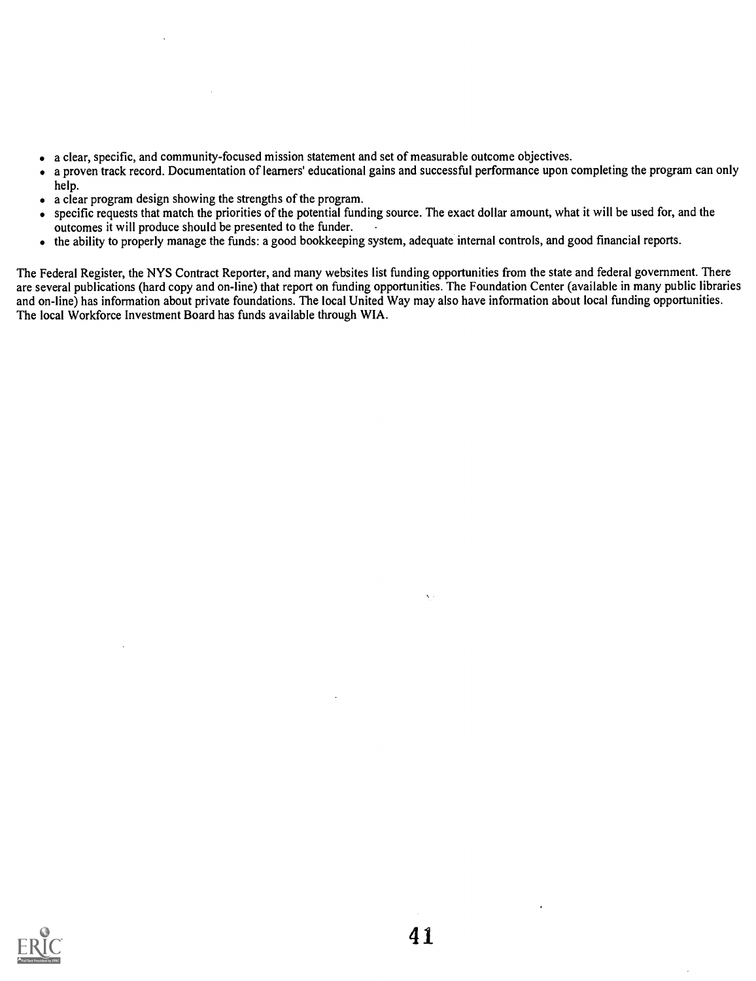- a clear, specific, and community-focused mission statement and set of measurable outcome objectives.
- a proven track record. Documentation of learners' educational gains and successful performance upon completing the program can only  $\bullet$ help.
- a clear program design showing the strengths of the program.  $\bullet$
- specific requests that match the priorities of the potential funding source. The exact dollar amount, what it will be used for, and the  $\bullet$ outcomes it will produce should be presented to the funder.
- the ability to properly manage the funds: a good bookkeeping system, adequate internal controls, and good financial reports.  $\bullet$

The Federal Register, the NYS Contract Reporter, and many websites list funding opportunities from the state and federal government. There are several publications (hard copy and on-line) that report on funding opportunities. The Foundation Center (available in many public libraries and on-line) has information about private foundations. The local United Way may also have information about local funding opportunities. The local Workforce Investment Board has funds available through WIA.

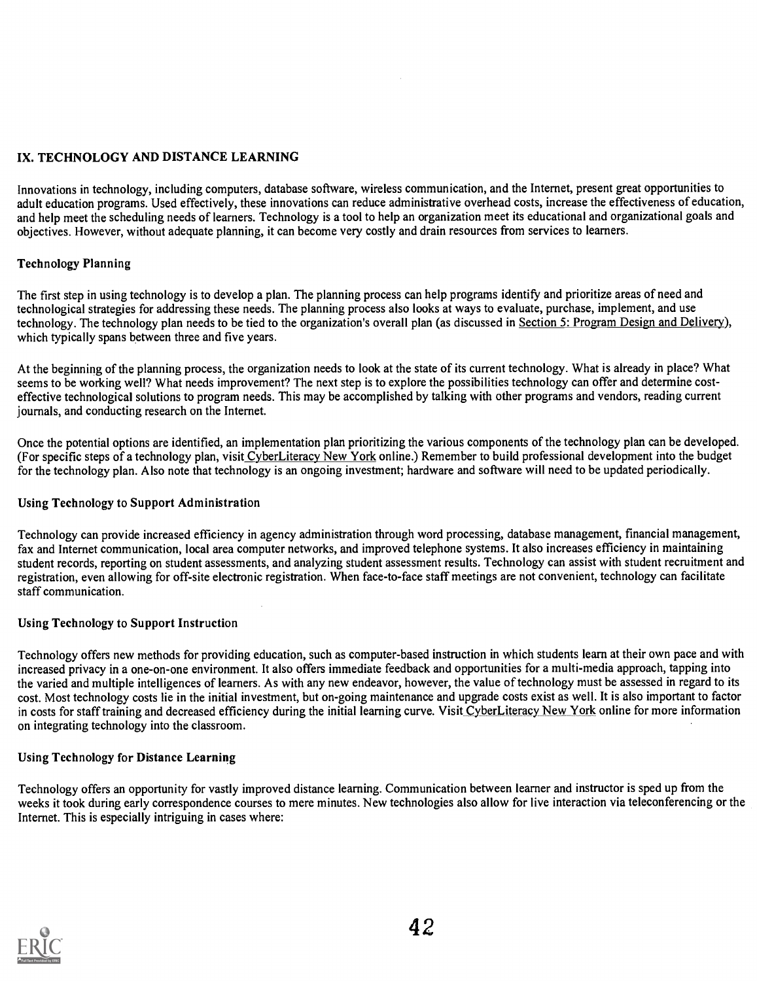# IX. TECHNOLOGY AND DISTANCE LEARNING

Innovations in technology, including computers, database software, wireless communication, and the Internet, present great opportunities to adult education programs. Used effectively, these innovations can reduce administrative overhead costs, increase the effectiveness of education, and help meet the scheduling needs of learners. Technology is a tool to help an organization meet its educational and organizational goals and objectives. However, without adequate planning, it can become very costly and drain resources from services to learners.

# Technology Planning

The first step in using technology is to develop a plan. The planning process can help programs identify and prioritize areas of need and technological strategies for addressing these needs. The planning process also looks at ways to evaluate, purchase, implement, and use technology. The technology plan needs to be tied to the organization's overall plan (as discussed in Section 5: Program Design and Delivery), which typically spans between three and five years.

At the beginning of the planning process, the organization needs to look at the state of its current technology. What is already in place? What seems to be working well? What needs improvement? The next step is to explore the possibilities technology can offer and determine costeffective technological solutions to program needs. This may be accomplished by talking with other programs and vendors, reading current journals, and conducting research on the Internet.

Once the potential options are identified, an implementation plan prioritizing the various components of the technology plan can be developed. (For specific steps of a technology plan, visit CyberLiteracy New York online.) Remember to build professional development into the budget for the technology plan. Also note that technology is an ongoing investment; hardware and software will need to be updated periodically.

# Using Technology to Support Administration

Technology can provide increased efficiency in agency administration through word processing, database management, financial management, fax and Internet communication, local area computer networks, and improved telephone systems. It also increases efficiency in maintaining student records, reporting on student assessments, and analyzing student assessment results. Technology can assist with student recruitment and registration, even allowing for off-site electronic registration. When face-to-face staff meetings are not convenient, technology can facilitate staff communication.

# Using Technology to Support Instruction

Technology offers new methods for providing education, such as computer-based instruction in which students learn at their own pace and with increased privacy in a one-on-one environment. It also offers immediate feedback and opportunities for a multi-media approach, tapping into the varied and multiple intelligences of learners. As with any new endeavor, however, the value of technology must be assessed in regard to its cost. Most technology costs lie in the initial investment, but on-going maintenance and upgrade costs exist as well. It is also important to factor in costs for staff training and decreased efficiency during the initial learning curve. Visit CyberLiteracy New York online for more information on integrating technology into the classroom.

# Using Technology for Distance Learning

Technology offers an opportunity for vastly improved distance learning. Communication between learner and instructor is sped up from the weeks it took during early correspondence courses to mere minutes. New technologies also allow for live interaction via teleconferencing or the Internet. This is especially intriguing in cases where:

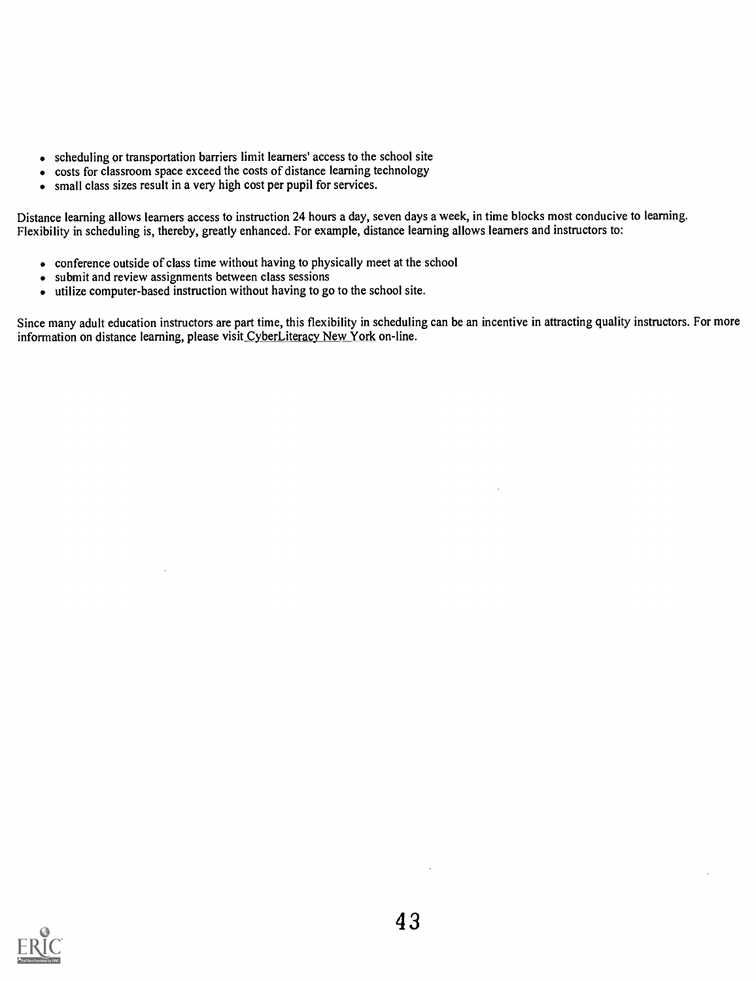- scheduling or transportation barriers limit learners' access to the school site
- costs for classroom space exceed the costs of distance learning technology
- small class sizes result in a very high cost per pupil for services.  $\bullet$

Distance learning allows learners access to instruction 24 hours a day, seven days a week, in time blocks most conducive to learning. Flexibility in scheduling is, thereby, greatly enhanced. For example, distance learning allows learners and instructors to:

- conference outside of class time without having to physically meet at the school
- submit and review assignments between class sessions
- utilize computer-based instruction without having to go to the school site.

Since many adult education instructors are part time, this flexibility in scheduling can be an incentive in attracting quality instructors. For more information on distance learning, please visit CyberLiteracy New York on-line.

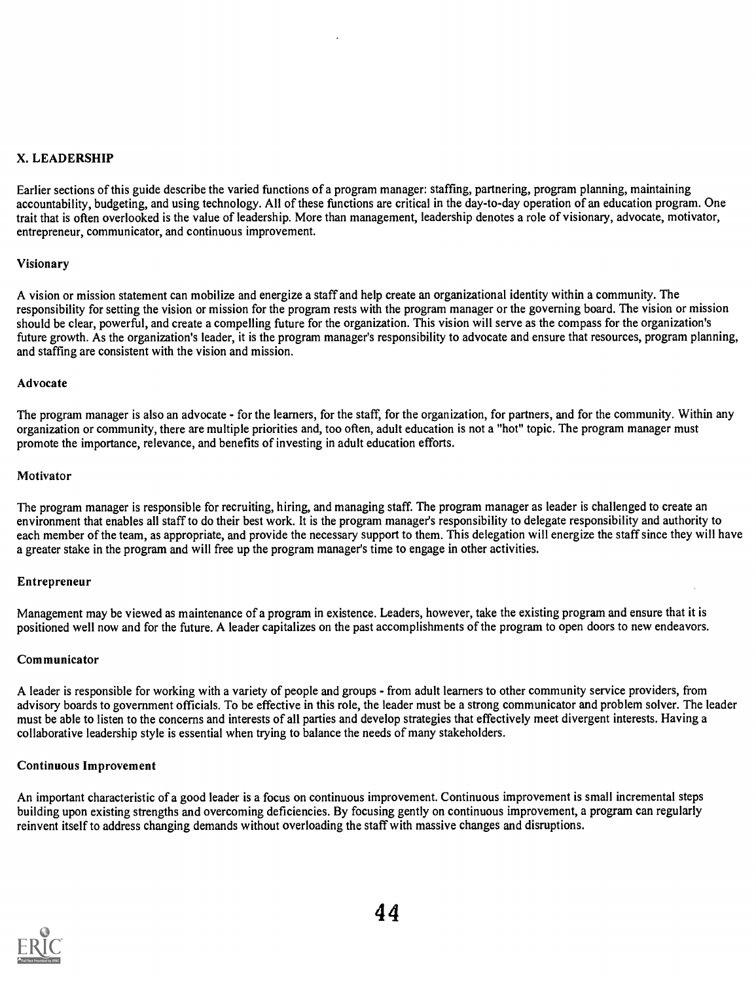# X. LEADERSHIP

Earlier sections of this guide describe the varied functions of a program manager: staffing, partnering, program planning, maintaining accountability, budgeting, and using technology. All of these functions are critical in the day-to-day operation of an education program. One trait that is often overlooked is the value of leadership. More than management, leadership denotes a role of visionary, advocate, motivator, entrepreneur, communicator, and continuous improvement.

# Visionary

A vision or mission statement can mobilize and energize a staff and help create an organizational identity within a community. The responsibility for setting the vision or mission for the program rests with the program manager or the governing board. The vision or mission should be clear, powerful, and create a compelling future for the organization. This vision will serve as the compass for the organization's future growth. As the organization's leader, it is the program manager's responsibility to advocate and ensure that resources, program planning, and staffing are consistent with the vision and mission.

# Advocate

The program manager is also an advocate - for the learners, for the staff, for the organization, for partners, and for the community. Within any organization or community, there are multiple priorities and, too often, adult education is not a "hot" topic. The program manager must promote the importance, relevance, and benefits of investing in adult education efforts.

#### Motivator

The program manager is responsible for recruiting, hiring, and managing staff. The program manager as leader is challenged to create an environment that enables all staff to do their best work. It is the program manager's responsibility to delegate responsibility and authority to each member of the team, as appropriate, and provide the necessary support to them. This delegation will energize the staff since they will have a greater stake in the program and will free up the program manager's time to engage in other activities.

# Entrepreneur

Management may be viewed as maintenance of a program in existence. Leaders, however, take the existing program and ensure that it is positioned well now and for the future. A leader capitalizes on the past accomplishments of the program to open doors to new endeavors.

# Communicator

A leader is responsible for working with a variety of people and groups - from adult learners to other community service providers, from advisory boards to government officials. To be effective in this role, the leader must be a strong communicator and problem solver. The leader must be able to listen to the concerns and interests of all parties and develop strategies that effectively meet divergent interests. Having a collaborative leadership style is essential when trying to balance the needs of many stakeholders.

# Continuous Improvement

An important characteristic of a good leader is a focus on continuous improvement. Continuous improvement is small incremental steps building upon existing strengths and overcoming deficiencies. By focusing gently on continuous improvement, a program can regularly reinvent itself to address changing demands without overloading the staff with massive changes and disruptions.

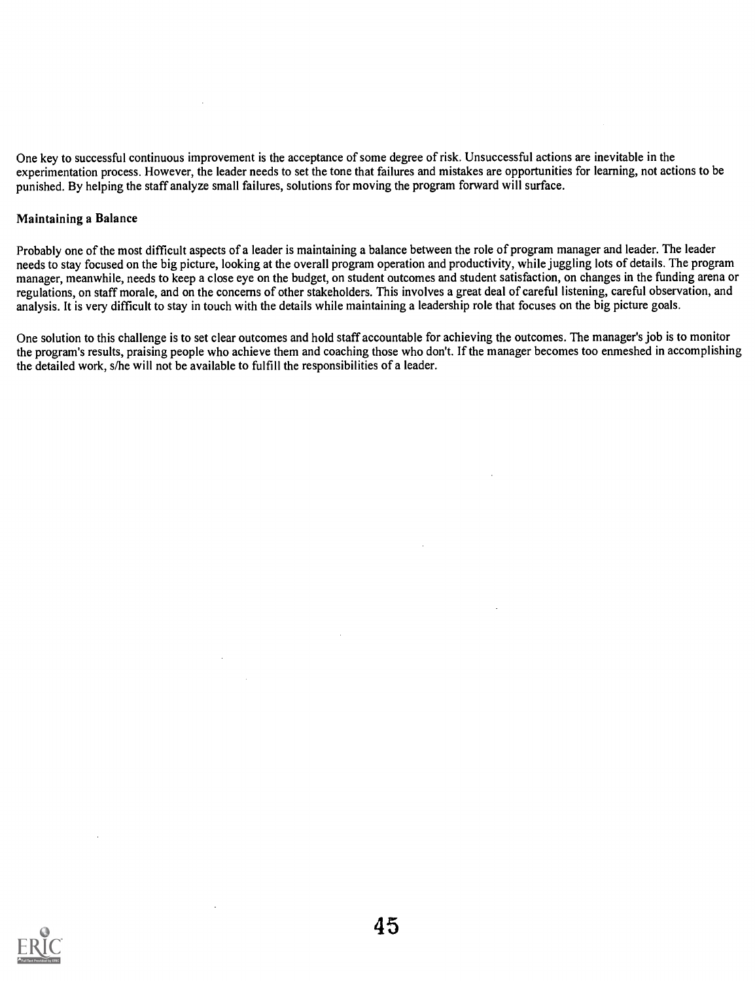One key to successful continuous improvement is the acceptance of some degree of risk. Unsuccessful actions are inevitable in the experimentation process. However, the leader needs to set the tone that failures and mistakes are opportunities for learning, not actions to be punished. By helping the staff analyze small failures, solutions for moving the program forward will surface.

#### Maintaining a Balance

Probably one of the most difficult aspects of a leader is maintaining a balance between the role of program manager and leader. The leader needs to stay focused on the big picture, looking at the overall program operation and productivity, while juggling lots of details. The program manager, meanwhile, needs to keep a close eye on the budget, on student outcomes and student satisfaction, on changes in the funding arena or regulations, on staff morale, and on the concerns of other stakeholders. This involves a great deal of careful listening, careful observation, and analysis. It is very difficult to stay in touch with the details while maintaining a leadership role that focuses on the big picture goals.

One solution to this challenge is to set clear outcomes and hold staff accountable for achieving the outcomes. The manager's job is to monitor the program's results, praising people who achieve them and coaching those who don't. If the manager becomes too enmeshed in accomplishing the detailed work, s/he will not be available to fulfill the responsibilities of a leader.

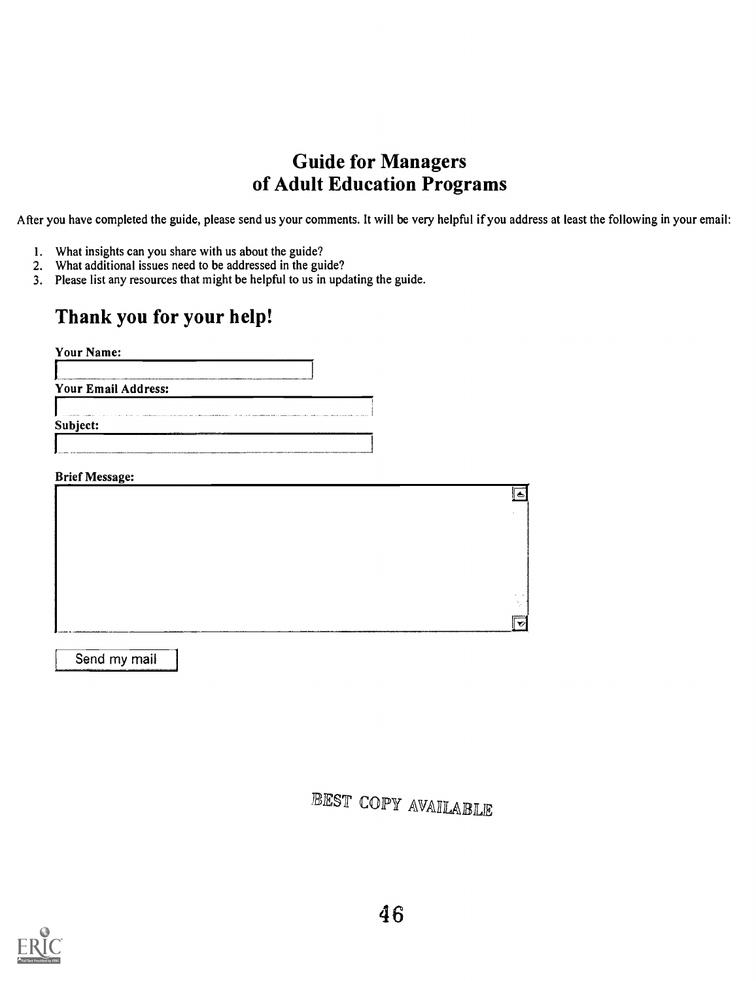# Guide for Managers of Adult Education Programs

After you have completed the guide, please send us your comments. It will be very helpful if you address at least the following in youremail:

- 1. What insights can you share with us about the guide?
- 2. What additional issues need to be addressed in the guide?
- 3. Please list any resources that might be helpful to us in updating the guide.

# Thank you for your help!

| <b>Your Email Address:</b><br><b>Sandwickership of an extramation of a moderation</b><br>Subject:<br><b>Brief Message:</b> |
|----------------------------------------------------------------------------------------------------------------------------|
|                                                                                                                            |
|                                                                                                                            |
|                                                                                                                            |
|                                                                                                                            |
|                                                                                                                            |
|                                                                                                                            |
|                                                                                                                            |
|                                                                                                                            |
|                                                                                                                            |
|                                                                                                                            |

Send my mail

BEST COPY AVAILABLE

|ਛ

 $\overline{\overline{\bm{\nu}}}$